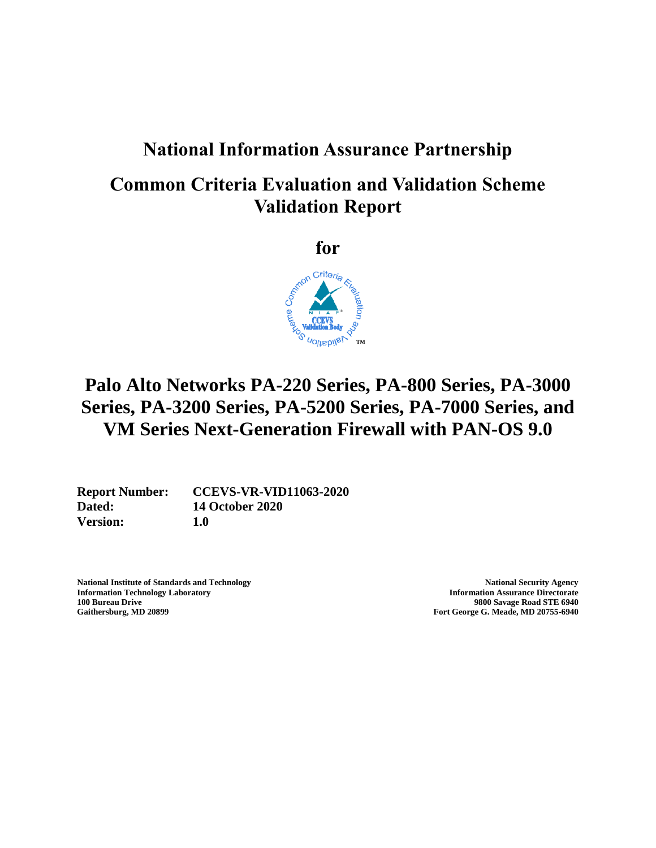## **National Information Assurance Partnership**

## **Common Criteria Evaluation and Validation Scheme Validation Report**

**for**



# **Palo Alto Networks PA-220 Series, PA-800 Series, PA-3000 Series, PA-3200 Series, PA-5200 Series, PA-7000 Series, and VM Series Next-Generation Firewall with PAN-OS 9.0**

**Dated: 14 October 2020 Version: 1.0**

**Report Number: CCEVS-VR-VID11063-2020**

**National Institute of Standards and Technology <b>National Security Agency National Security Agency Information Technology Laboratory Information Assurance Directorate 100 Bureau Drive 9800 Savage Road STE 6940**

**Gaithersburg, MD 20899 Fort George G. Meade, MD 20755-6940**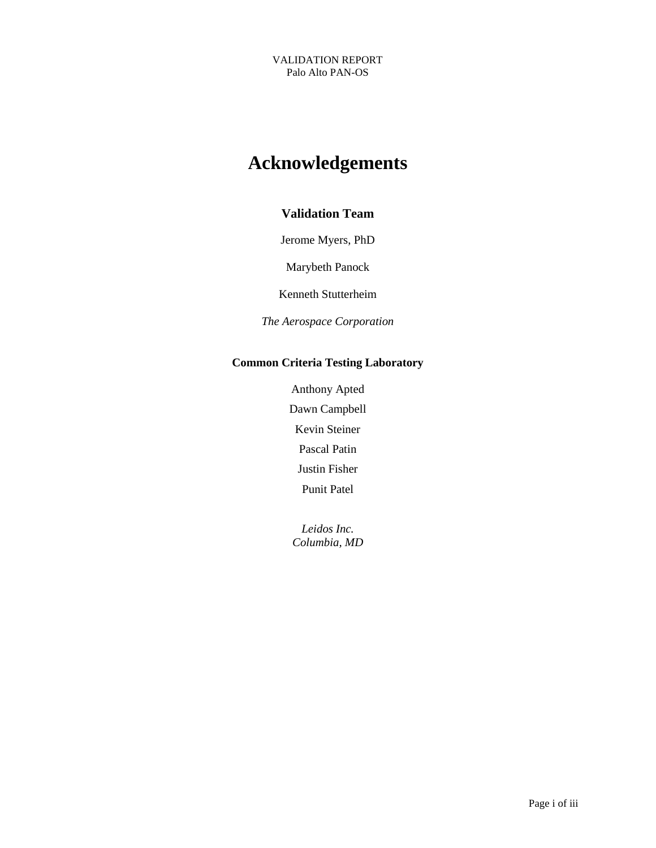# **Acknowledgements**

### **Validation Team**

Jerome Myers, PhD

Marybeth Panock

Kenneth Stutterheim

*The Aerospace Corporation*

### **Common Criteria Testing Laboratory**

Anthony Apted Dawn Campbell Kevin Steiner Pascal Patin Justin Fisher Punit Patel

*Leidos Inc. Columbia, MD*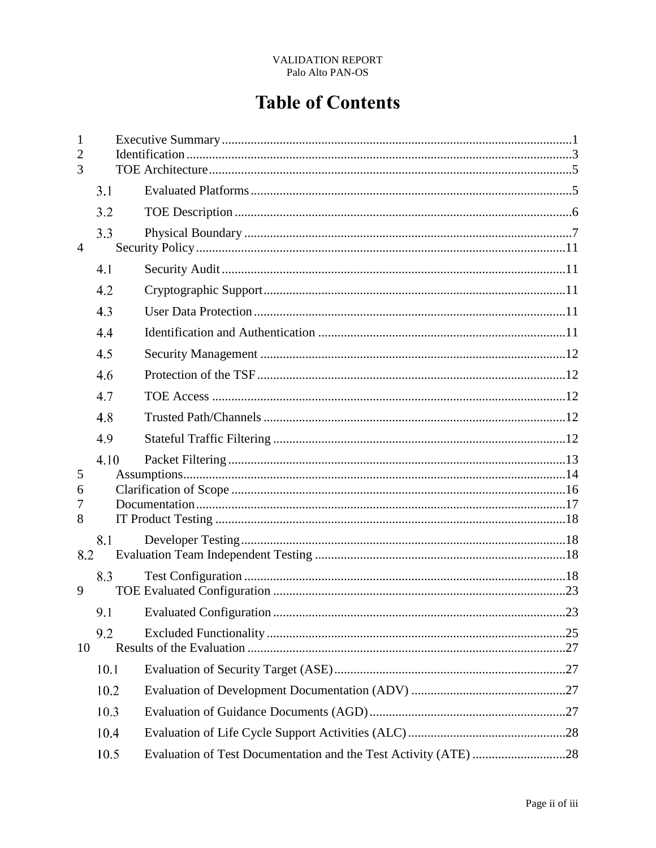# **Table of Contents**

| $\mathbf{1}$<br>$\overline{2}$<br>3 |      |                                                                 |  |
|-------------------------------------|------|-----------------------------------------------------------------|--|
|                                     | 3.1  |                                                                 |  |
|                                     | 3.2  |                                                                 |  |
| $\overline{4}$                      | 3.3  |                                                                 |  |
|                                     | 4.1  |                                                                 |  |
|                                     | 4.2  |                                                                 |  |
|                                     | 4.3  |                                                                 |  |
|                                     | 4.4  |                                                                 |  |
|                                     | 4.5  |                                                                 |  |
|                                     | 4.6  |                                                                 |  |
|                                     | 4.7  |                                                                 |  |
|                                     | 4.8  |                                                                 |  |
|                                     | 4.9  |                                                                 |  |
| 5<br>6<br>7<br>8                    | 4.10 |                                                                 |  |
|                                     | 8.1  |                                                                 |  |
| 8.2                                 |      |                                                                 |  |
| 9                                   | 8.3  |                                                                 |  |
|                                     |      |                                                                 |  |
| 10                                  | 9.2  |                                                                 |  |
|                                     | 10.1 |                                                                 |  |
|                                     | 10.2 |                                                                 |  |
|                                     | 10.3 |                                                                 |  |
|                                     | 10.4 |                                                                 |  |
|                                     | 10.5 | Evaluation of Test Documentation and the Test Activity (ATE) 28 |  |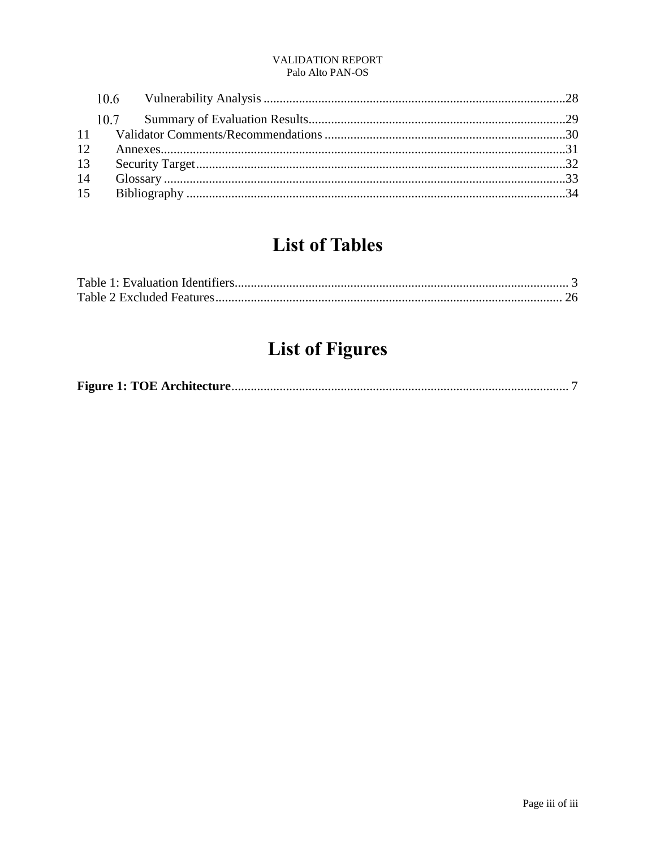# **List of Tables**

# **List of Figures**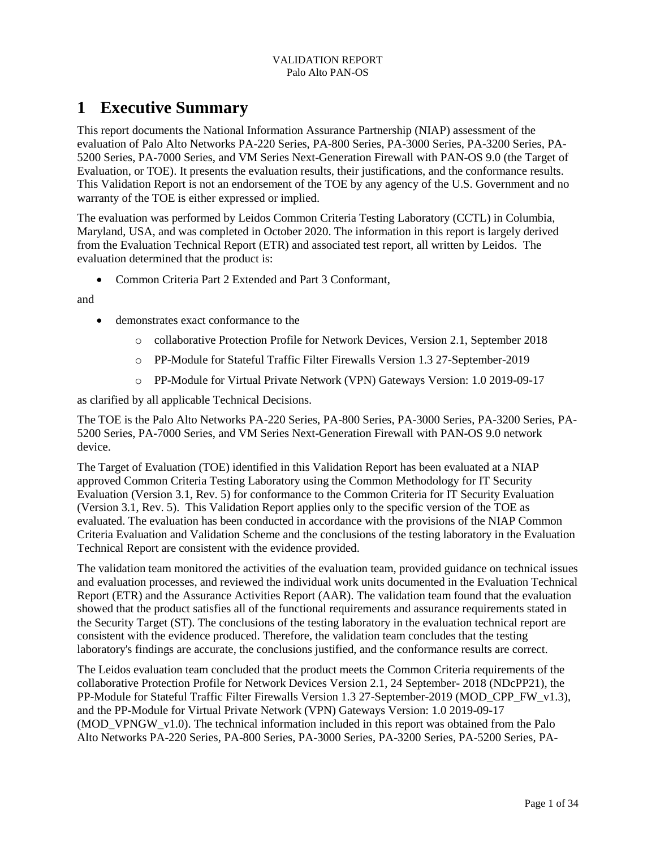## <span id="page-4-0"></span>**1 Executive Summary**

This report documents the National Information Assurance Partnership (NIAP) assessment of the evaluation of Palo Alto Networks PA-220 Series, PA-800 Series, PA-3000 Series, PA-3200 Series, PA-5200 Series, PA-7000 Series, and VM Series Next-Generation Firewall with PAN-OS 9.0 (the Target of Evaluation, or TOE). It presents the evaluation results, their justifications, and the conformance results. This Validation Report is not an endorsement of the TOE by any agency of the U.S. Government and no warranty of the TOE is either expressed or implied.

The evaluation was performed by Leidos Common Criteria Testing Laboratory (CCTL) in Columbia, Maryland, USA, and was completed in October 2020. The information in this report is largely derived from the Evaluation Technical Report (ETR) and associated test report, all written by Leidos. The evaluation determined that the product is:

• Common Criteria Part 2 Extended and Part 3 Conformant,

and

- demonstrates exact conformance to the
	- o collaborative Protection Profile for Network Devices, Version 2.1, September 2018
	- o PP-Module for Stateful Traffic Filter Firewalls Version 1.3 27-September-2019
	- o PP-Module for Virtual Private Network (VPN) Gateways Version: 1.0 2019-09-17

as clarified by all applicable Technical Decisions.

The TOE is the Palo Alto Networks PA-220 Series, PA-800 Series, PA-3000 Series, PA-3200 Series, PA-5200 Series, PA-7000 Series, and VM Series Next-Generation Firewall with PAN-OS 9.0 network device.

The Target of Evaluation (TOE) identified in this Validation Report has been evaluated at a NIAP approved Common Criteria Testing Laboratory using the Common Methodology for IT Security Evaluation (Version 3.1, Rev. 5) for conformance to the Common Criteria for IT Security Evaluation (Version 3.1, Rev. 5). This Validation Report applies only to the specific version of the TOE as evaluated. The evaluation has been conducted in accordance with the provisions of the NIAP Common Criteria Evaluation and Validation Scheme and the conclusions of the testing laboratory in the Evaluation Technical Report are consistent with the evidence provided.

The validation team monitored the activities of the evaluation team, provided guidance on technical issues and evaluation processes, and reviewed the individual work units documented in the Evaluation Technical Report (ETR) and the Assurance Activities Report (AAR). The validation team found that the evaluation showed that the product satisfies all of the functional requirements and assurance requirements stated in the Security Target (ST). The conclusions of the testing laboratory in the evaluation technical report are consistent with the evidence produced. Therefore, the validation team concludes that the testing laboratory's findings are accurate, the conclusions justified, and the conformance results are correct.

The Leidos evaluation team concluded that the product meets the Common Criteria requirements of the collaborative Protection Profile for Network Devices Version 2.1, 24 September- 2018 (NDcPP21), the PP-Module for Stateful Traffic Filter Firewalls Version 1.3 27-September-2019 (MOD\_CPP\_FW\_v1.3), and the PP-Module for Virtual Private Network (VPN) Gateways Version: 1.0 2019-09-17 (MOD\_VPNGW\_v1.0). The technical information included in this report was obtained from the Palo Alto Networks PA-220 Series, PA-800 Series, PA-3000 Series, PA-3200 Series, PA-5200 Series, PA-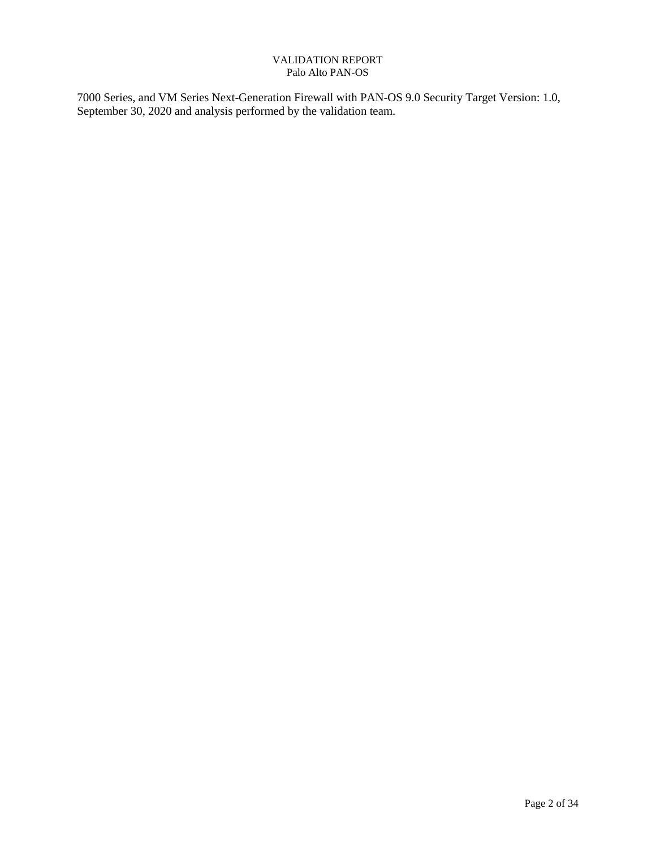7000 Series, and VM Series Next-Generation Firewall with PAN-OS 9.0 Security Target Version: 1.0, September 30, 2020 and analysis performed by the validation team.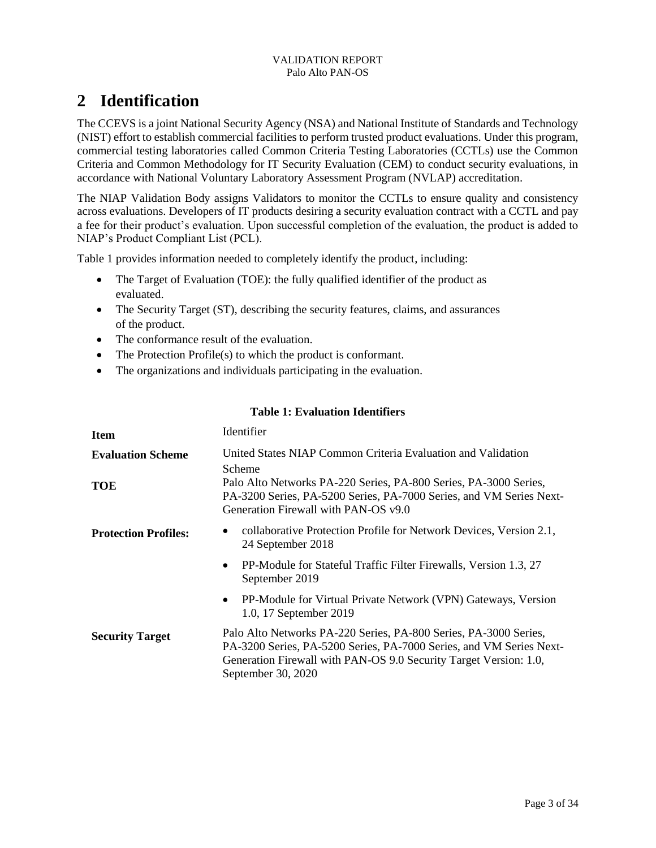## <span id="page-6-0"></span>**2 Identification**

The CCEVS is a joint National Security Agency (NSA) and National Institute of Standards and Technology (NIST) effort to establish commercial facilities to perform trusted product evaluations. Under this program, commercial testing laboratories called Common Criteria Testing Laboratories (CCTLs) use the Common Criteria and Common Methodology for IT Security Evaluation (CEM) to conduct security evaluations, in accordance with National Voluntary Laboratory Assessment Program (NVLAP) accreditation.

The NIAP Validation Body assigns Validators to monitor the CCTLs to ensure quality and consistency across evaluations. Developers of IT products desiring a security evaluation contract with a CCTL and pay a fee for their product's evaluation. Upon successful completion of the evaluation, the product is added to NIAP's Product Compliant List (PCL).

Table 1 provides information needed to completely identify the product, including:

- The Target of Evaluation (TOE): the fully qualified identifier of the product as evaluated.
- The Security Target (ST), describing the security features, claims, and assurances of the product.
- The conformance result of the evaluation.
- The Protection Profile(s) to which the product is conformant.
- The organizations and individuals participating in the evaluation.

### **Table 1: Evaluation Identifiers**

<span id="page-6-1"></span>

| <b>Item</b>                 | Identifier                                                                                                                                                                                                                         |  |
|-----------------------------|------------------------------------------------------------------------------------------------------------------------------------------------------------------------------------------------------------------------------------|--|
| <b>Evaluation Scheme</b>    | United States NIAP Common Criteria Evaluation and Validation<br>Scheme                                                                                                                                                             |  |
| TOE                         | Palo Alto Networks PA-220 Series, PA-800 Series, PA-3000 Series,<br>PA-3200 Series, PA-5200 Series, PA-7000 Series, and VM Series Next-<br>Generation Firewall with PAN-OS v9.0                                                    |  |
| <b>Protection Profiles:</b> | collaborative Protection Profile for Network Devices, Version 2.1,<br>24 September 2018                                                                                                                                            |  |
|                             | PP-Module for Stateful Traffic Filter Firewalls, Version 1.3, 27<br>$\bullet$<br>September 2019                                                                                                                                    |  |
|                             | PP-Module for Virtual Private Network (VPN) Gateways, Version<br>$\bullet$<br>1.0, 17 September 2019                                                                                                                               |  |
| <b>Security Target</b>      | Palo Alto Networks PA-220 Series, PA-800 Series, PA-3000 Series,<br>PA-3200 Series, PA-5200 Series, PA-7000 Series, and VM Series Next-<br>Generation Firewall with PAN-OS 9.0 Security Target Version: 1.0,<br>September 30, 2020 |  |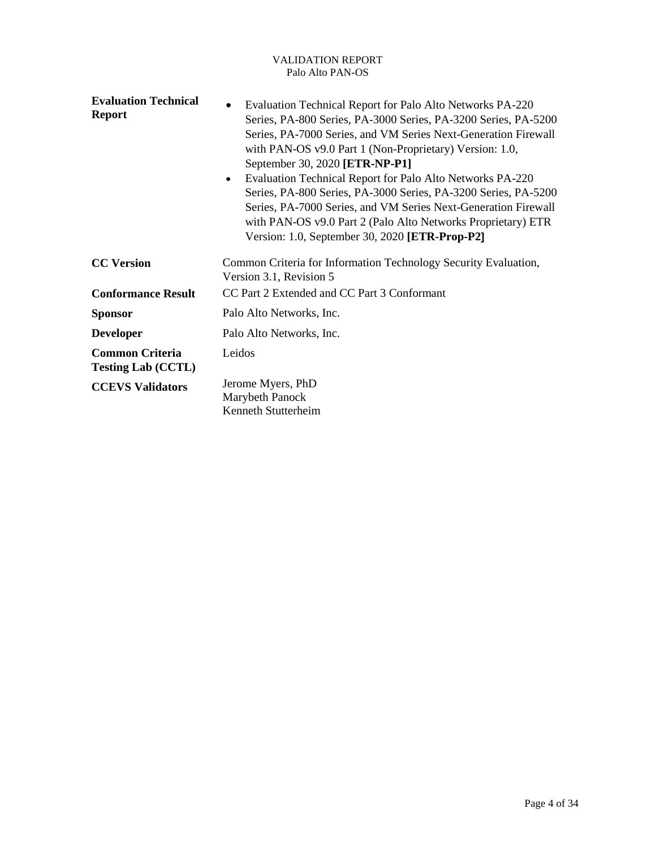| <b>Evaluation Technical</b><br><b>Report</b>        | Evaluation Technical Report for Palo Alto Networks PA-220<br>$\bullet$<br>Series, PA-800 Series, PA-3000 Series, PA-3200 Series, PA-5200<br>Series, PA-7000 Series, and VM Series Next-Generation Firewall<br>with PAN-OS v9.0 Part 1 (Non-Proprietary) Version: 1.0,<br>September 30, 2020 [ETR-NP-P1]<br>Evaluation Technical Report for Palo Alto Networks PA-220<br>$\bullet$<br>Series, PA-800 Series, PA-3000 Series, PA-3200 Series, PA-5200<br>Series, PA-7000 Series, and VM Series Next-Generation Firewall<br>with PAN-OS v9.0 Part 2 (Palo Alto Networks Proprietary) ETR<br>Version: 1.0, September 30, 2020 [ETR-Prop-P2] |
|-----------------------------------------------------|-----------------------------------------------------------------------------------------------------------------------------------------------------------------------------------------------------------------------------------------------------------------------------------------------------------------------------------------------------------------------------------------------------------------------------------------------------------------------------------------------------------------------------------------------------------------------------------------------------------------------------------------|
| <b>CC Version</b>                                   | Common Criteria for Information Technology Security Evaluation,<br>Version 3.1, Revision 5                                                                                                                                                                                                                                                                                                                                                                                                                                                                                                                                              |
| <b>Conformance Result</b>                           | CC Part 2 Extended and CC Part 3 Conformant                                                                                                                                                                                                                                                                                                                                                                                                                                                                                                                                                                                             |
| <b>Sponsor</b>                                      | Palo Alto Networks, Inc.                                                                                                                                                                                                                                                                                                                                                                                                                                                                                                                                                                                                                |
| <b>Developer</b>                                    | Palo Alto Networks, Inc.                                                                                                                                                                                                                                                                                                                                                                                                                                                                                                                                                                                                                |
| <b>Common Criteria</b><br><b>Testing Lab (CCTL)</b> | Leidos                                                                                                                                                                                                                                                                                                                                                                                                                                                                                                                                                                                                                                  |
| <b>CCEVS Validators</b>                             | Jerome Myers, PhD<br>Marybeth Panock<br>Kenneth Stutterheim                                                                                                                                                                                                                                                                                                                                                                                                                                                                                                                                                                             |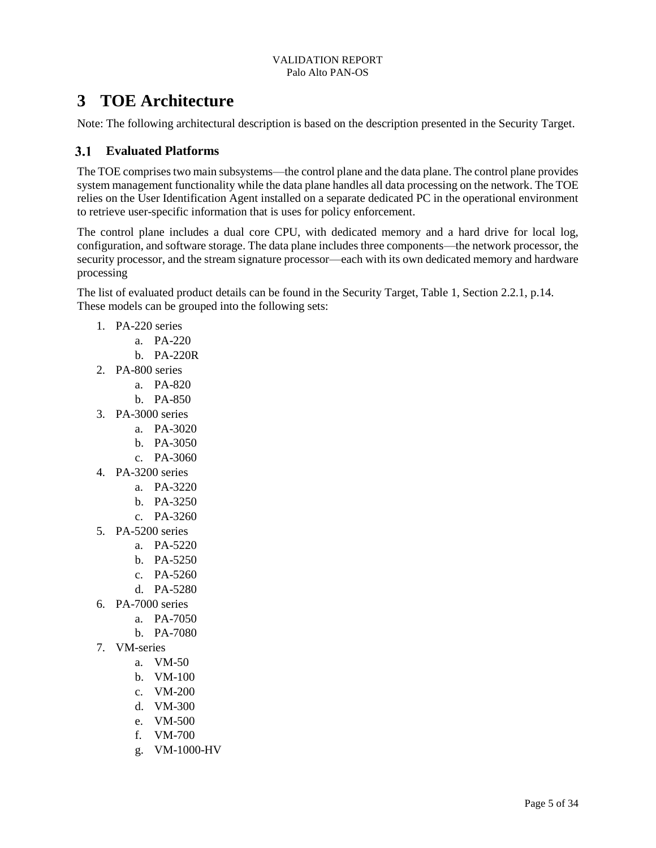## <span id="page-8-0"></span>**3 TOE Architecture**

Note: The following architectural description is based on the description presented in the Security Target.

## <span id="page-8-1"></span>**Evaluated Platforms**

The TOE comprises two main subsystems—the control plane and the data plane. The control plane provides system management functionality while the data plane handles all data processing on the network. The TOE relies on the User Identification Agent installed on a separate dedicated PC in the operational environment to retrieve user-specific information that is uses for policy enforcement.

The control plane includes a dual core CPU, with dedicated memory and a hard drive for local log, configuration, and software storage. The data plane includes three components—the network processor, the security processor, and the stream signature processor—each with its own dedicated memory and hardware processing

The list of evaluated product details can be found in the Security Target, Table 1, Section 2.2.1, p.14. These models can be grouped into the following sets:

- 1. PA-220 series
	- a. PA-220
	- b. PA-220R
- 2. PA-800 series
	- a. PA-820
	- b. PA-850
- 3. PA-3000 series
	- a. PA-3020
	- b. PA-3050
	- c. PA-3060
- 4. PA-3200 series
	- a. PA-3220
	- b. PA-3250
	- c. PA-3260
- 5. PA-5200 series
	- a. PA-5220
	- b. PA-5250
	- c. PA-5260
	- d. PA-5280
- 6. PA-7000 series
	- a. PA-7050
	- b. PA-7080
- 7. VM-series
	- a. VM-50
	- b. VM-100
	- c. VM-200
	- d. VM-300
	- e. VM-500
	- f. VM-700
	- g. VM-1000-HV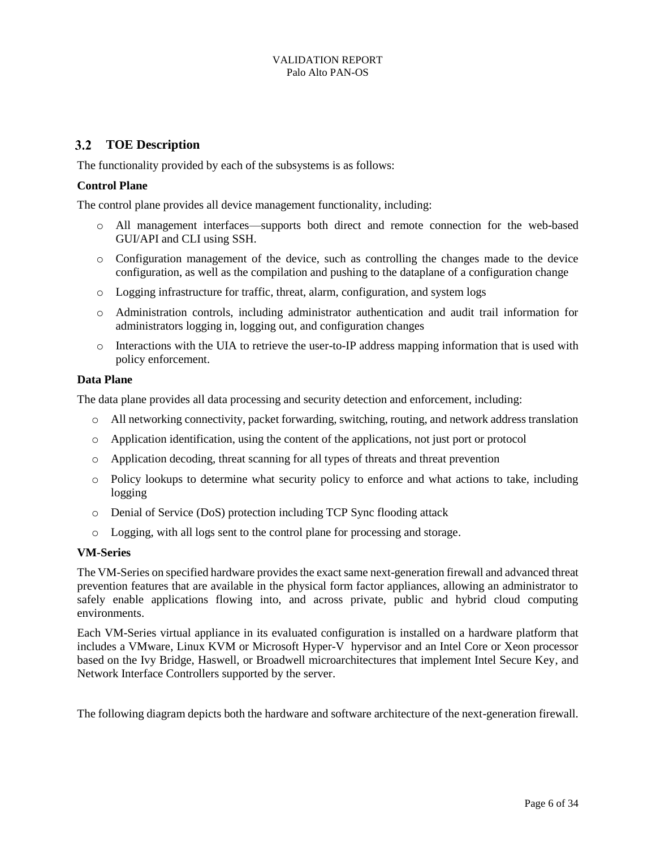## <span id="page-9-0"></span>**TOE Description**

The functionality provided by each of the subsystems is as follows:

### **Control Plane**

The control plane provides all device management functionality, including:

- o All management interfaces—supports both direct and remote connection for the web-based GUI/API and CLI using SSH.
- o Configuration management of the device, such as controlling the changes made to the device configuration, as well as the compilation and pushing to the dataplane of a configuration change
- o Logging infrastructure for traffic, threat, alarm, configuration, and system logs
- o Administration controls, including administrator authentication and audit trail information for administrators logging in, logging out, and configuration changes
- o Interactions with the UIA to retrieve the user-to-IP address mapping information that is used with policy enforcement.

### **Data Plane**

The data plane provides all data processing and security detection and enforcement, including:

- o All networking connectivity, packet forwarding, switching, routing, and network address translation
- o Application identification, using the content of the applications, not just port or protocol
- o Application decoding, threat scanning for all types of threats and threat prevention
- o Policy lookups to determine what security policy to enforce and what actions to take, including logging
- o Denial of Service (DoS) protection including TCP Sync flooding attack
- o Logging, with all logs sent to the control plane for processing and storage.

#### **VM-Series**

The VM-Series on specified hardware provides the exact same next-generation firewall and advanced threat prevention features that are available in the physical form factor appliances, allowing an administrator to safely enable applications flowing into, and across private, public and hybrid cloud computing environments.

Each VM-Series virtual appliance in its evaluated configuration is installed on a hardware platform that includes a VMware, Linux KVM or Microsoft Hyper-V hypervisor and an Intel Core or Xeon processor based on the Ivy Bridge, Haswell, or Broadwell microarchitectures that implement Intel Secure Key, and Network Interface Controllers supported by the server.

The following diagram depicts both the hardware and software architecture of the next-generation firewall.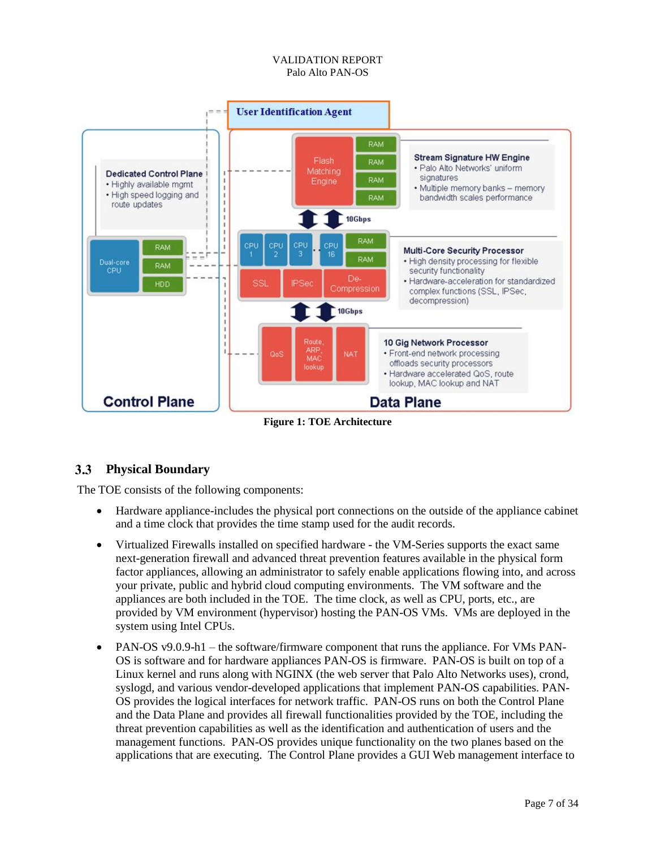

**Figure 1: TOE Architecture**

### <span id="page-10-1"></span><span id="page-10-0"></span>**Physical Boundary**

The TOE consists of the following components:

- Hardware appliance-includes the physical port connections on the outside of the appliance cabinet and a time clock that provides the time stamp used for the audit records.
- Virtualized Firewalls installed on specified hardware the VM-Series supports the exact same next-generation firewall and advanced threat prevention features available in the physical form factor appliances, allowing an administrator to safely enable applications flowing into, and across your private, public and hybrid cloud computing environments. The VM software and the appliances are both included in the TOE. The time clock, as well as CPU, ports, etc., are provided by VM environment (hypervisor) hosting the PAN-OS VMs. VMs are deployed in the system using Intel CPUs.
- PAN-OS v9.0.9-h1 the software/firmware component that runs the appliance. For VMs PAN-OS is software and for hardware appliances PAN-OS is firmware. PAN-OS is built on top of a Linux kernel and runs along with NGINX (the web server that Palo Alto Networks uses), crond, syslogd, and various vendor-developed applications that implement PAN-OS capabilities. PAN-OS provides the logical interfaces for network traffic. PAN-OS runs on both the Control Plane and the Data Plane and provides all firewall functionalities provided by the TOE, including the threat prevention capabilities as well as the identification and authentication of users and the management functions. PAN-OS provides unique functionality on the two planes based on the applications that are executing. The Control Plane provides a GUI Web management interface to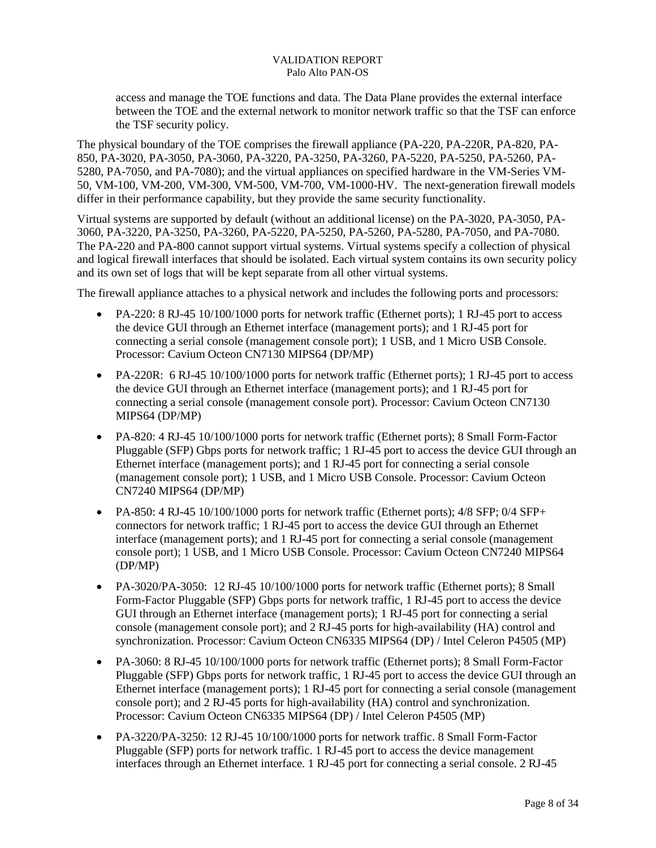access and manage the TOE functions and data. The Data Plane provides the external interface between the TOE and the external network to monitor network traffic so that the TSF can enforce the TSF security policy.

The physical boundary of the TOE comprises the firewall appliance (PA-220, PA-220R, PA-820, PA-850, PA-3020, PA-3050, PA-3060, PA-3220, PA-3250, PA-3260, PA-5220, PA-5250, PA-5260, PA-5280, PA-7050, and PA-7080); and the virtual appliances on specified hardware in the VM-Series VM-50, VM-100, VM-200, VM-300, VM-500, VM-700, VM-1000-HV. The next-generation firewall models differ in their performance capability, but they provide the same security functionality.

Virtual systems are supported by default (without an additional license) on the PA-3020, PA-3050, PA-3060, PA-3220, PA-3250, PA-3260, PA-5220, PA-5250, PA-5260, PA-5280, PA-7050, and PA-7080. The PA-220 and PA-800 cannot support virtual systems. Virtual systems specify a collection of physical and logical firewall interfaces that should be isolated. Each virtual system contains its own security policy and its own set of logs that will be kept separate from all other virtual systems.

The firewall appliance attaches to a physical network and includes the following ports and processors:

- PA-220: 8 RJ-45 10/100/1000 ports for network traffic (Ethernet ports); 1 RJ-45 port to access the device GUI through an Ethernet interface (management ports); and 1 RJ-45 port for connecting a serial console (management console port); 1 USB, and 1 Micro USB Console. Processor: Cavium Octeon CN7130 MIPS64 (DP/MP)
- PA-220R: 6 RJ-45 10/100/1000 ports for network traffic (Ethernet ports); 1 RJ-45 port to access the device GUI through an Ethernet interface (management ports); and 1 RJ-45 port for connecting a serial console (management console port). Processor: Cavium Octeon CN7130 MIPS64 (DP/MP)
- PA-820: 4 RJ-45 10/100/1000 ports for network traffic (Ethernet ports); 8 Small Form-Factor Pluggable (SFP) Gbps ports for network traffic; 1 RJ-45 port to access the device GUI through an Ethernet interface (management ports); and 1 RJ-45 port for connecting a serial console (management console port); 1 USB, and 1 Micro USB Console. Processor: Cavium Octeon CN7240 MIPS64 (DP/MP)
- PA-850: 4 RJ-45 10/100/1000 ports for network traffic (Ethernet ports); 4/8 SFP; 0/4 SFP+ connectors for network traffic; 1 RJ-45 port to access the device GUI through an Ethernet interface (management ports); and 1 RJ-45 port for connecting a serial console (management console port); 1 USB, and 1 Micro USB Console. Processor: Cavium Octeon CN7240 MIPS64 (DP/MP)
- PA-3020/PA-3050: 12 RJ-45 10/100/1000 ports for network traffic (Ethernet ports); 8 Small Form-Factor Pluggable (SFP) Gbps ports for network traffic, 1 RJ-45 port to access the device GUI through an Ethernet interface (management ports); 1 RJ-45 port for connecting a serial console (management console port); and 2 RJ-45 ports for high-availability (HA) control and synchronization. Processor: Cavium Octeon CN6335 MIPS64 (DP) / Intel Celeron P4505 (MP)
- PA-3060: 8 RJ-45 10/100/1000 ports for network traffic (Ethernet ports); 8 Small Form-Factor Pluggable (SFP) Gbps ports for network traffic, 1 RJ-45 port to access the device GUI through an Ethernet interface (management ports); 1 RJ-45 port for connecting a serial console (management console port); and 2 RJ-45 ports for high-availability (HA) control and synchronization. Processor: Cavium Octeon CN6335 MIPS64 (DP) / Intel Celeron P4505 (MP)
- PA-3220/PA-3250: 12 RJ-45 10/100/1000 ports for network traffic. 8 Small Form-Factor Pluggable (SFP) ports for network traffic. 1 RJ-45 port to access the device management interfaces through an Ethernet interface. 1 RJ-45 port for connecting a serial console. 2 RJ-45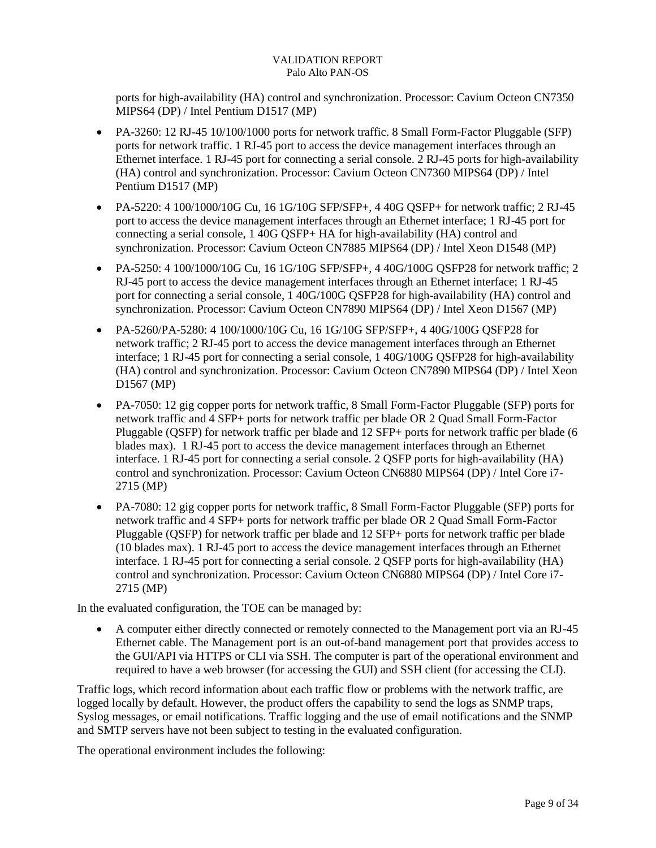ports for high-availability (HA) control and synchronization. Processor: Cavium Octeon CN7350 MIPS64 (DP) / Intel Pentium D1517 (MP)

- PA-3260: 12 RJ-45 10/100/1000 ports for network traffic. 8 Small Form-Factor Pluggable (SFP) ports for network traffic. 1 RJ-45 port to access the device management interfaces through an Ethernet interface. 1 RJ-45 port for connecting a serial console. 2 RJ-45 ports for high-availability (HA) control and synchronization. Processor: Cavium Octeon CN7360 MIPS64 (DP) / Intel Pentium D1517 (MP)
- PA-5220: 4 100/1000/10G Cu, 16 1G/10G SFP/SFP+, 4 40G QSFP+ for network traffic; 2 RJ-45 port to access the device management interfaces through an Ethernet interface; 1 RJ-45 port for connecting a serial console, 1 40G QSFP+ HA for high-availability (HA) control and synchronization. Processor: Cavium Octeon CN7885 MIPS64 (DP) / Intel Xeon D1548 (MP)
- PA-5250: 4 100/1000/10G Cu, 16 1G/10G SFP/SFP+, 4 40G/100G QSFP28 for network traffic; 2 RJ-45 port to access the device management interfaces through an Ethernet interface; 1 RJ-45 port for connecting a serial console, 1 40G/100G QSFP28 for high-availability (HA) control and synchronization. Processor: Cavium Octeon CN7890 MIPS64 (DP) / Intel Xeon D1567 (MP)
- PA-5260/PA-5280: 4 100/1000/10G Cu, 16 1G/10G SFP/SFP+, 4 40G/100G QSFP28 for network traffic; 2 RJ-45 port to access the device management interfaces through an Ethernet interface; 1 RJ-45 port for connecting a serial console, 1 40G/100G QSFP28 for high-availability (HA) control and synchronization. Processor: Cavium Octeon CN7890 MIPS64 (DP) / Intel Xeon D1567 (MP)
- PA-7050: 12 gig copper ports for network traffic, 8 Small Form-Factor Pluggable (SFP) ports for network traffic and 4 SFP+ ports for network traffic per blade OR 2 Quad Small Form-Factor Pluggable (QSFP) for network traffic per blade and 12 SFP+ ports for network traffic per blade (6 blades max). 1 RJ-45 port to access the device management interfaces through an Ethernet interface. 1 RJ-45 port for connecting a serial console. 2 QSFP ports for high-availability (HA) control and synchronization. Processor: Cavium Octeon CN6880 MIPS64 (DP) / Intel Core i7- 2715 (MP)
- PA-7080: 12 gig copper ports for network traffic, 8 Small Form-Factor Pluggable (SFP) ports for network traffic and 4 SFP+ ports for network traffic per blade OR 2 Quad Small Form-Factor Pluggable (QSFP) for network traffic per blade and 12 SFP+ ports for network traffic per blade (10 blades max). 1 RJ-45 port to access the device management interfaces through an Ethernet interface. 1 RJ-45 port for connecting a serial console. 2 QSFP ports for high-availability (HA) control and synchronization. Processor: Cavium Octeon CN6880 MIPS64 (DP) / Intel Core i7- 2715 (MP)

In the evaluated configuration, the TOE can be managed by:

 A computer either directly connected or remotely connected to the Management port via an RJ-45 Ethernet cable. The Management port is an out-of-band management port that provides access to the GUI/API via HTTPS or CLI via SSH. The computer is part of the operational environment and required to have a web browser (for accessing the GUI) and SSH client (for accessing the CLI).

Traffic logs, which record information about each traffic flow or problems with the network traffic, are logged locally by default. However, the product offers the capability to send the logs as SNMP traps, Syslog messages, or email notifications. Traffic logging and the use of email notifications and the SNMP and SMTP servers have not been subject to testing in the evaluated configuration.

The operational environment includes the following: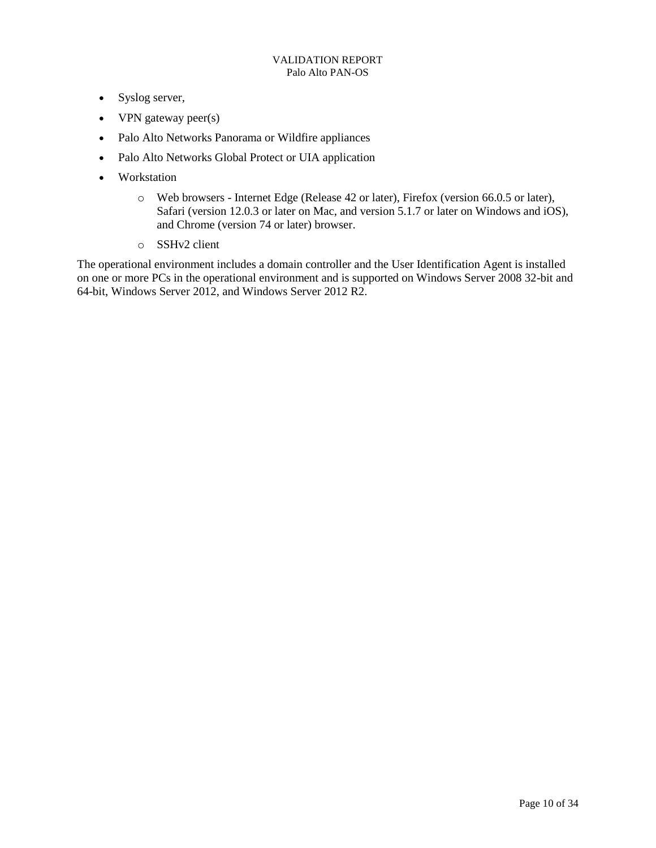- Syslog server,
- VPN gateway peer(s)
- Palo Alto Networks Panorama or Wildfire appliances
- Palo Alto Networks Global Protect or UIA application
- Workstation
	- o Web browsers Internet Edge (Release 42 or later), Firefox (version 66.0.5 or later), Safari (version 12.0.3 or later on Mac, and version 5.1.7 or later on Windows and iOS), and Chrome (version 74 or later) browser.
	- o SSHv2 client

The operational environment includes a domain controller and the User Identification Agent is installed on one or more PCs in the operational environment and is supported on Windows Server 2008 32-bit and 64-bit, Windows Server 2012, and Windows Server 2012 R2.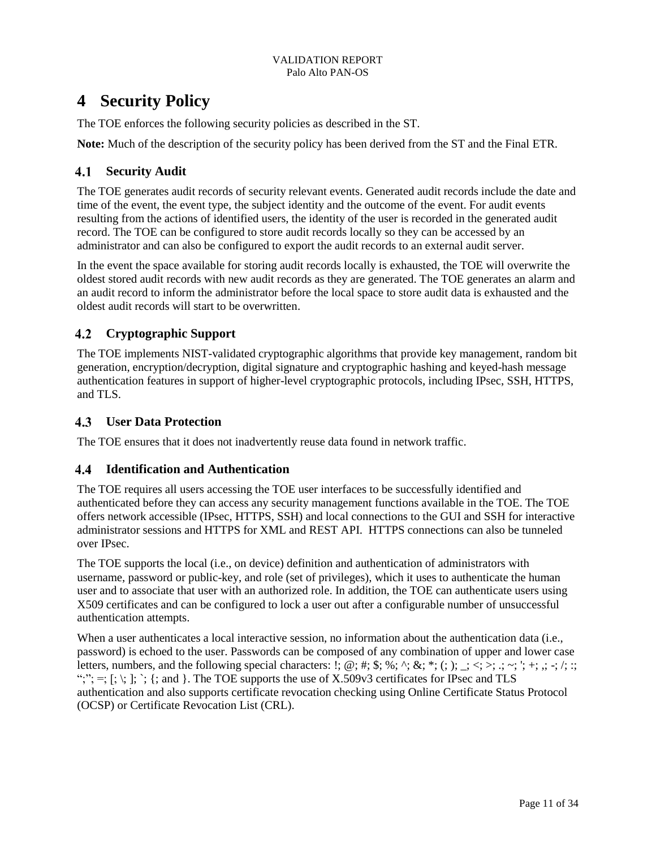## <span id="page-14-0"></span>**4 Security Policy**

The TOE enforces the following security policies as described in the ST.

**Note:** Much of the description of the security policy has been derived from the ST and the Final ETR.

## <span id="page-14-1"></span>**Security Audit**

The TOE generates audit records of security relevant events. Generated audit records include the date and time of the event, the event type, the subject identity and the outcome of the event. For audit events resulting from the actions of identified users, the identity of the user is recorded in the generated audit record. The TOE can be configured to store audit records locally so they can be accessed by an administrator and can also be configured to export the audit records to an external audit server.

In the event the space available for storing audit records locally is exhausted, the TOE will overwrite the oldest stored audit records with new audit records as they are generated. The TOE generates an alarm and an audit record to inform the administrator before the local space to store audit data is exhausted and the oldest audit records will start to be overwritten.

## <span id="page-14-2"></span>**Cryptographic Support**

The TOE implements NIST-validated cryptographic algorithms that provide key management, random bit generation, encryption/decryption, digital signature and cryptographic hashing and keyed-hash message authentication features in support of higher-level cryptographic protocols, including IPsec, SSH, HTTPS, and TLS.

## <span id="page-14-3"></span>**User Data Protection**

The TOE ensures that it does not inadvertently reuse data found in network traffic.

## <span id="page-14-4"></span>**Identification and Authentication**

The TOE requires all users accessing the TOE user interfaces to be successfully identified and authenticated before they can access any security management functions available in the TOE. The TOE offers network accessible (IPsec, HTTPS, SSH) and local connections to the GUI and SSH for interactive administrator sessions and HTTPS for XML and REST API. HTTPS connections can also be tunneled over IPsec.

The TOE supports the local (i.e., on device) definition and authentication of administrators with username, password or public-key, and role (set of privileges), which it uses to authenticate the human user and to associate that user with an authorized role. In addition, the TOE can authenticate users using X509 certificates and can be configured to lock a user out after a configurable number of unsuccessful authentication attempts.

When a user authenticates a local interactive session, no information about the authentication data (i.e., password) is echoed to the user. Passwords can be composed of any combination of upper and lower case letters, numbers, and the following special characters:  $\vdots$ ; @; #; \$; %; ^; &; \*; (; ); \_; <; >; .; ~; '; +; .; -; /; :; ";";  $=$ ; [; \; ]; `; {; and }. The TOE supports the use of X.509 $\vee$ 3 certificates for IPsec and TLS authentication and also supports certificate revocation checking using Online Certificate Status Protocol (OCSP) or Certificate Revocation List (CRL).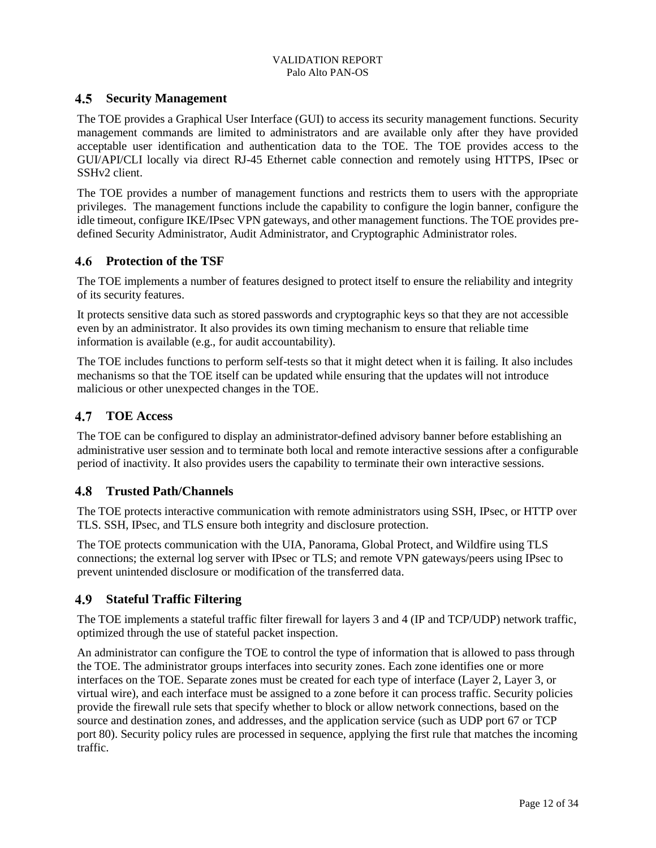### <span id="page-15-0"></span>**Security Management**

The TOE provides a Graphical User Interface (GUI) to access its security management functions. Security management commands are limited to administrators and are available only after they have provided acceptable user identification and authentication data to the TOE. The TOE provides access to the GUI/API/CLI locally via direct RJ-45 Ethernet cable connection and remotely using HTTPS, IPsec or SSHv2 client.

The TOE provides a number of management functions and restricts them to users with the appropriate privileges. The management functions include the capability to configure the login banner, configure the idle timeout, configure IKE/IPsec VPN gateways, and other management functions. The TOE provides predefined Security Administrator, Audit Administrator, and Cryptographic Administrator roles.

### <span id="page-15-1"></span>**Protection of the TSF**

The TOE implements a number of features designed to protect itself to ensure the reliability and integrity of its security features.

It protects sensitive data such as stored passwords and cryptographic keys so that they are not accessible even by an administrator. It also provides its own timing mechanism to ensure that reliable time information is available (e.g., for audit accountability).

The TOE includes functions to perform self-tests so that it might detect when it is failing. It also includes mechanisms so that the TOE itself can be updated while ensuring that the updates will not introduce malicious or other unexpected changes in the TOE.

#### <span id="page-15-2"></span> $4.7$ **TOE Access**

The TOE can be configured to display an administrator-defined advisory banner before establishing an administrative user session and to terminate both local and remote interactive sessions after a configurable period of inactivity. It also provides users the capability to terminate their own interactive sessions.

### <span id="page-15-3"></span>**Trusted Path/Channels**

The TOE protects interactive communication with remote administrators using SSH, IPsec, or HTTP over TLS. SSH, IPsec, and TLS ensure both integrity and disclosure protection.

The TOE protects communication with the UIA, Panorama, Global Protect, and Wildfire using TLS connections; the external log server with IPsec or TLS; and remote VPN gateways/peers using IPsec to prevent unintended disclosure or modification of the transferred data.

### <span id="page-15-4"></span>**Stateful Traffic Filtering**

The TOE implements a stateful traffic filter firewall for layers 3 and 4 (IP and TCP/UDP) network traffic, optimized through the use of stateful packet inspection.

An administrator can configure the TOE to control the type of information that is allowed to pass through the TOE. The administrator groups interfaces into security zones. Each zone identifies one or more interfaces on the TOE. Separate zones must be created for each type of interface (Layer 2, Layer 3, or virtual wire), and each interface must be assigned to a zone before it can process traffic. Security policies provide the firewall rule sets that specify whether to block or allow network connections, based on the source and destination zones, and addresses, and the application service (such as UDP port 67 or TCP port 80). Security policy rules are processed in sequence, applying the first rule that matches the incoming traffic.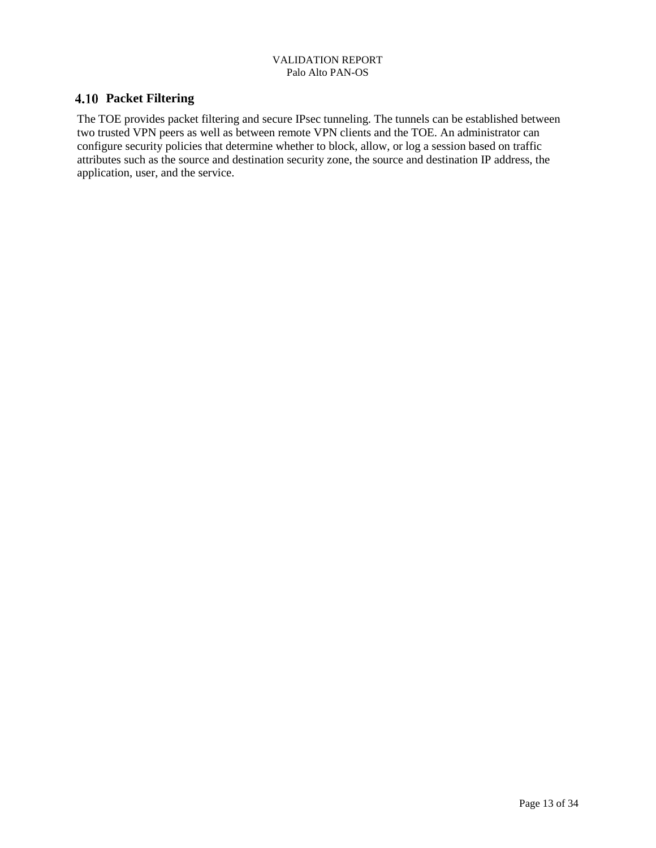### <span id="page-16-0"></span>**Packet Filtering**

The TOE provides packet filtering and secure IPsec tunneling. The tunnels can be established between two trusted VPN peers as well as between remote VPN clients and the TOE. An administrator can configure security policies that determine whether to block, allow, or log a session based on traffic attributes such as the source and destination security zone, the source and destination IP address, the application, user, and the service.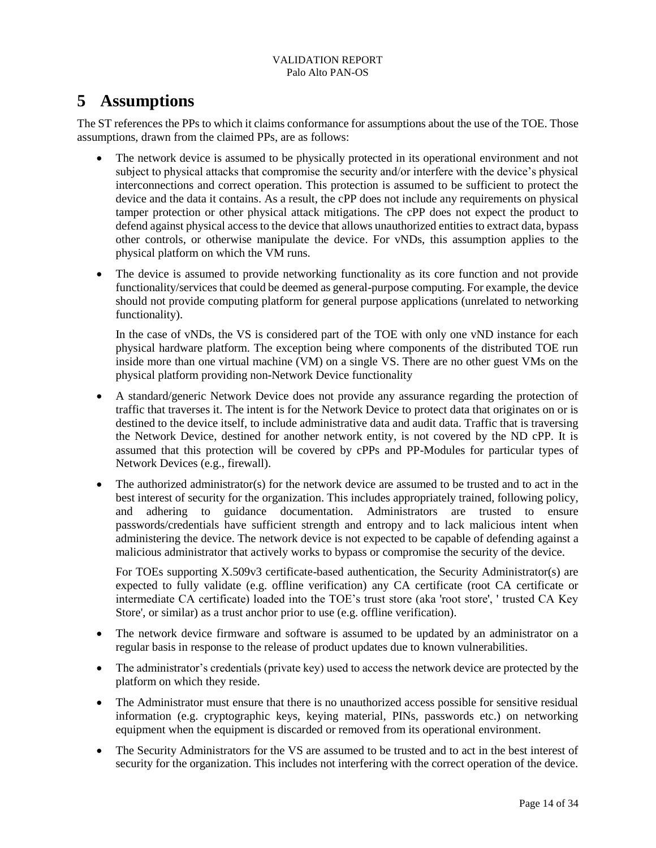## <span id="page-17-0"></span>**5 Assumptions**

The ST references the PPs to which it claims conformance for assumptions about the use of the TOE. Those assumptions, drawn from the claimed PPs, are as follows:

- The network device is assumed to be physically protected in its operational environment and not subject to physical attacks that compromise the security and/or interfere with the device's physical interconnections and correct operation. This protection is assumed to be sufficient to protect the device and the data it contains. As a result, the cPP does not include any requirements on physical tamper protection or other physical attack mitigations. The cPP does not expect the product to defend against physical access to the device that allows unauthorized entities to extract data, bypass other controls, or otherwise manipulate the device. For vNDs, this assumption applies to the physical platform on which the VM runs.
- The device is assumed to provide networking functionality as its core function and not provide functionality/services that could be deemed as general-purpose computing. For example, the device should not provide computing platform for general purpose applications (unrelated to networking functionality).

In the case of vNDs, the VS is considered part of the TOE with only one vND instance for each physical hardware platform. The exception being where components of the distributed TOE run inside more than one virtual machine (VM) on a single VS. There are no other guest VMs on the physical platform providing non-Network Device functionality

- A standard/generic Network Device does not provide any assurance regarding the protection of traffic that traverses it. The intent is for the Network Device to protect data that originates on or is destined to the device itself, to include administrative data and audit data. Traffic that is traversing the Network Device, destined for another network entity, is not covered by the ND cPP. It is assumed that this protection will be covered by cPPs and PP-Modules for particular types of Network Devices (e.g., firewall).
- The authorized administrator(s) for the network device are assumed to be trusted and to act in the best interest of security for the organization. This includes appropriately trained, following policy, and adhering to guidance documentation. Administrators are trusted to ensure passwords/credentials have sufficient strength and entropy and to lack malicious intent when administering the device. The network device is not expected to be capable of defending against a malicious administrator that actively works to bypass or compromise the security of the device.

For TOEs supporting X.509v3 certificate-based authentication, the Security Administrator(s) are expected to fully validate (e.g. offline verification) any CA certificate (root CA certificate or intermediate CA certificate) loaded into the TOE's trust store (aka 'root store', ' trusted CA Key Store', or similar) as a trust anchor prior to use (e.g. offline verification).

- The network device firmware and software is assumed to be updated by an administrator on a regular basis in response to the release of product updates due to known vulnerabilities.
- The administrator's credentials (private key) used to access the network device are protected by the platform on which they reside.
- The Administrator must ensure that there is no unauthorized access possible for sensitive residual information (e.g. cryptographic keys, keying material, PINs, passwords etc.) on networking equipment when the equipment is discarded or removed from its operational environment.
- The Security Administrators for the VS are assumed to be trusted and to act in the best interest of security for the organization. This includes not interfering with the correct operation of the device.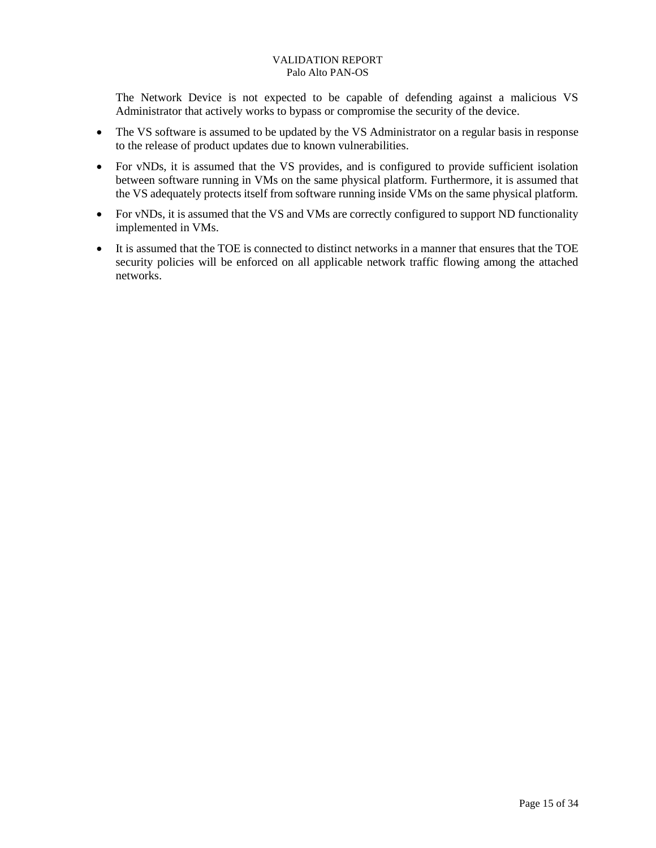The Network Device is not expected to be capable of defending against a malicious VS Administrator that actively works to bypass or compromise the security of the device.

- The VS software is assumed to be updated by the VS Administrator on a regular basis in response to the release of product updates due to known vulnerabilities.
- For vNDs, it is assumed that the VS provides, and is configured to provide sufficient isolation between software running in VMs on the same physical platform. Furthermore, it is assumed that the VS adequately protects itself from software running inside VMs on the same physical platform.
- For vNDs, it is assumed that the VS and VMs are correctly configured to support ND functionality implemented in VMs.
- It is assumed that the TOE is connected to distinct networks in a manner that ensures that the TOE security policies will be enforced on all applicable network traffic flowing among the attached networks.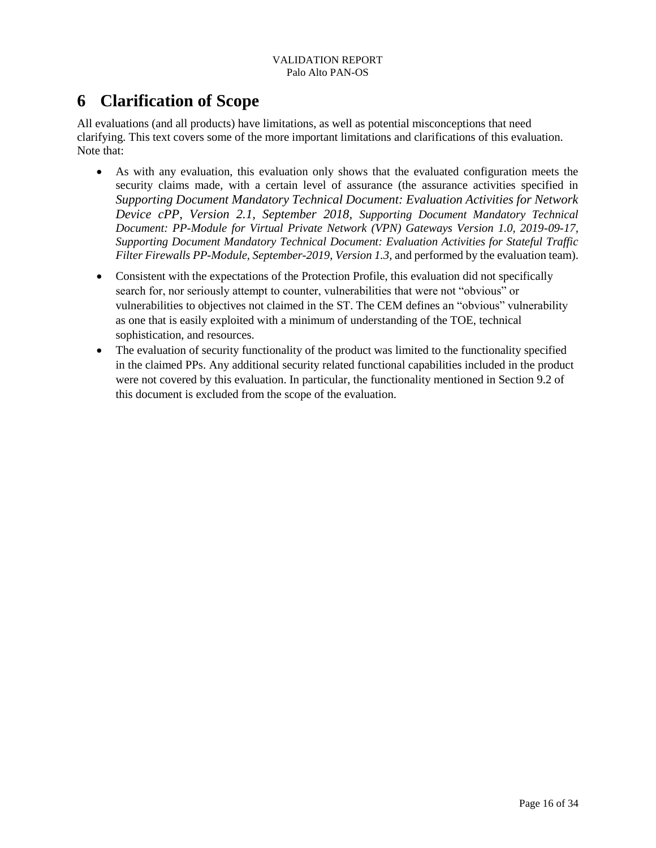## <span id="page-19-0"></span>**6 Clarification of Scope**

All evaluations (and all products) have limitations, as well as potential misconceptions that need clarifying. This text covers some of the more important limitations and clarifications of this evaluation. Note that:

- As with any evaluation, this evaluation only shows that the evaluated configuration meets the security claims made, with a certain level of assurance (the assurance activities specified in *Supporting Document Mandatory Technical Document: Evaluation Activities for Network Device cPP, Version 2.1, September 2018, Supporting Document Mandatory Technical Document: PP-Module for Virtual Private Network (VPN) Gateways Version 1.0, 2019-09-17, Supporting Document Mandatory Technical Document: Evaluation Activities for Stateful Traffic Filter Firewalls PP-Module, September-2019, Version 1.3, and performed by the evaluation team).*
- Consistent with the expectations of the Protection Profile, this evaluation did not specifically search for, nor seriously attempt to counter, vulnerabilities that were not "obvious" or vulnerabilities to objectives not claimed in the ST. The CEM defines an "obvious" vulnerability as one that is easily exploited with a minimum of understanding of the TOE, technical sophistication, and resources.
- The evaluation of security functionality of the product was limited to the functionality specified in the claimed PPs. Any additional security related functional capabilities included in the product were not covered by this evaluation. In particular, the functionality mentioned in Section 9.2 of this document is excluded from the scope of the evaluation.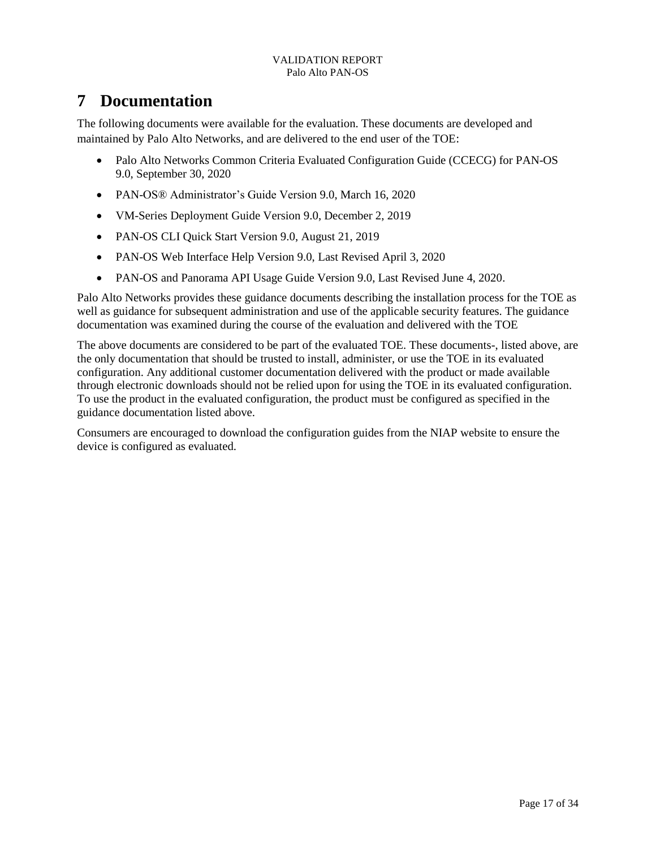## <span id="page-20-0"></span>**7 Documentation**

The following documents were available for the evaluation. These documents are developed and maintained by Palo Alto Networks, and are delivered to the end user of the TOE:

- Palo Alto Networks Common Criteria Evaluated Configuration Guide (CCECG) for PAN-OS 9.0, September 30, 2020
- PAN-OS® Administrator's Guide Version 9.0, March 16, 2020
- VM-Series Deployment Guide Version 9.0, December 2, 2019
- PAN-OS CLI Quick Start Version 9.0, August 21, 2019
- PAN-OS Web Interface Help Version 9.0, Last Revised April 3, 2020
- PAN-OS and Panorama API Usage Guide Version 9.0, Last Revised June 4, 2020.

Palo Alto Networks provides these guidance documents describing the installation process for the TOE as well as guidance for subsequent administration and use of the applicable security features. The guidance documentation was examined during the course of the evaluation and delivered with the TOE

The above documents are considered to be part of the evaluated TOE. These documents-, listed above, are the only documentation that should be trusted to install, administer, or use the TOE in its evaluated configuration. Any additional customer documentation delivered with the product or made available through electronic downloads should not be relied upon for using the TOE in its evaluated configuration. To use the product in the evaluated configuration, the product must be configured as specified in the guidance documentation listed above.

Consumers are encouraged to download the configuration guides from the NIAP website to ensure the device is configured as evaluated.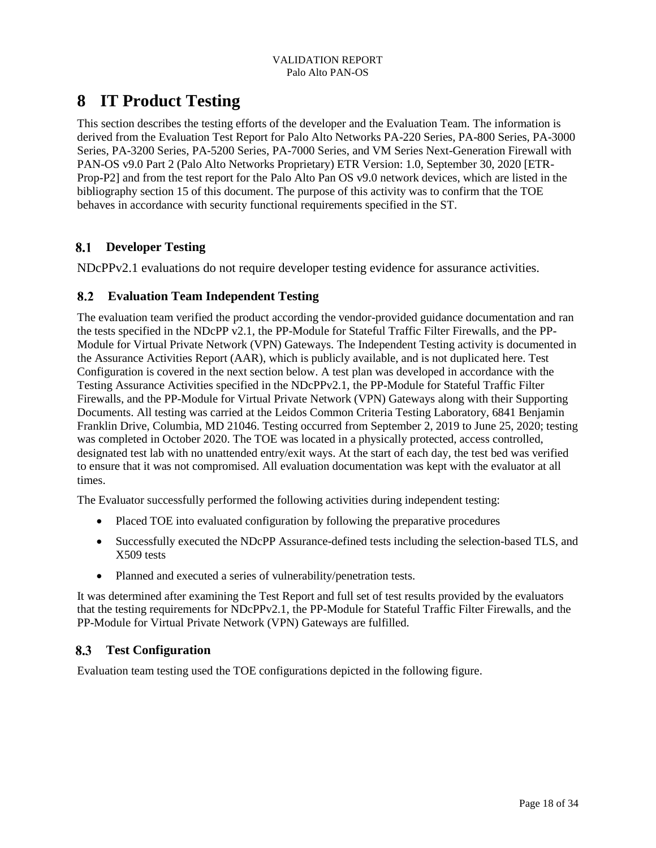## <span id="page-21-0"></span>**8 IT Product Testing**

This section describes the testing efforts of the developer and the Evaluation Team. The information is derived from the Evaluation Test Report for Palo Alto Networks PA-220 Series, PA-800 Series, PA-3000 Series, PA-3200 Series, PA-5200 Series, PA-7000 Series, and VM Series Next-Generation Firewall with PAN-OS v9.0 Part 2 (Palo Alto Networks Proprietary) ETR Version: 1.0, September 30, 2020 [ETR-Prop-P2] and from the test report for the Palo Alto Pan OS v9.0 network devices, which are listed in the bibliography section 15 of this document. The purpose of this activity was to confirm that the TOE behaves in accordance with security functional requirements specified in the ST.

## <span id="page-21-1"></span>**Developer Testing**

NDcPPv2.1 evaluations do not require developer testing evidence for assurance activities.

### <span id="page-21-2"></span>**Evaluation Team Independent Testing**

The evaluation team verified the product according the vendor-provided guidance documentation and ran the tests specified in the NDcPP v2.1, the PP-Module for Stateful Traffic Filter Firewalls, and the PP-Module for Virtual Private Network (VPN) Gateways. The Independent Testing activity is documented in the Assurance Activities Report (AAR), which is publicly available, and is not duplicated here. Test Configuration is covered in the next section below. A test plan was developed in accordance with the Testing Assurance Activities specified in the NDcPPv2.1, the PP-Module for Stateful Traffic Filter Firewalls, and the PP-Module for Virtual Private Network (VPN) Gateways along with their Supporting Documents. All testing was carried at the Leidos Common Criteria Testing Laboratory, 6841 Benjamin Franklin Drive, Columbia, MD 21046. Testing occurred from September 2, 2019 to June 25, 2020; testing was completed in October 2020. The TOE was located in a physically protected, access controlled, designated test lab with no unattended entry/exit ways. At the start of each day, the test bed was verified to ensure that it was not compromised. All evaluation documentation was kept with the evaluator at all times.

The Evaluator successfully performed the following activities during independent testing:

- Placed TOE into evaluated configuration by following the preparative procedures
- Successfully executed the NDcPP Assurance-defined tests including the selection-based TLS, and X509 tests
- Planned and executed a series of vulnerability/penetration tests.

It was determined after examining the Test Report and full set of test results provided by the evaluators that the testing requirements for NDcPPv2.1, the PP-Module for Stateful Traffic Filter Firewalls, and the PP-Module for Virtual Private Network (VPN) Gateways are fulfilled.

## <span id="page-21-3"></span>**Test Configuration**

Evaluation team testing used the TOE configurations depicted in the following figure.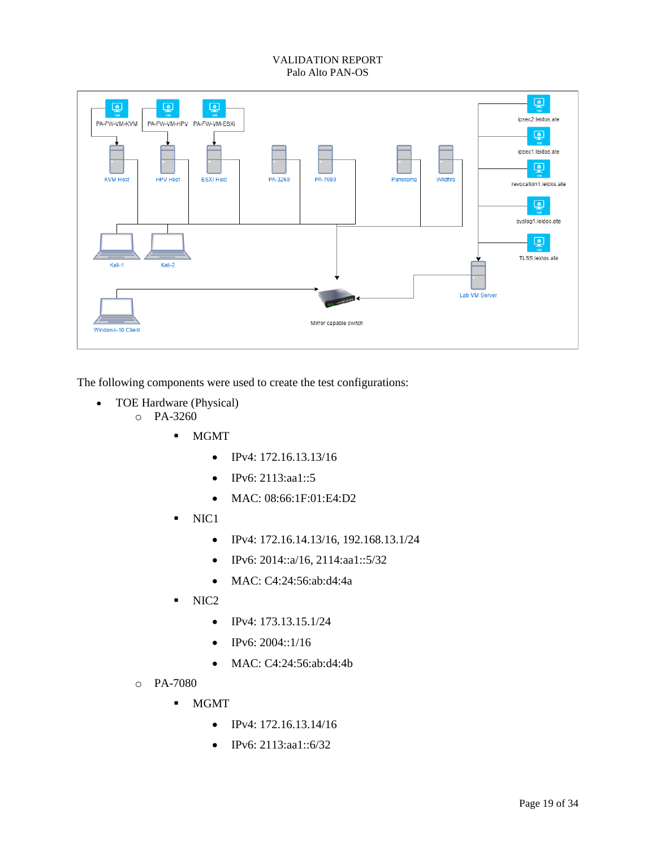

The following components were used to create the test configurations:

- TOE Hardware (Physical)
	- o PA-3260
		- **-** MGMT
			- $\bullet$  IPv4: 172.16.13.13/16
			- IPv6: 2113:aa1::5
			- MAC: 08:66:1F:01:E4:D2
		- $\blacksquare$  NIC1
			- IPv4: 172.16.14.13/16, 192.168.13.1/24
			- $\bullet$  IPv6: 2014::a/16, 2114:aa1::5/32
			- MAC: C4:24:56:ab:d4:4a
		- $\blacksquare$  NIC2
			- $\bullet$  IPv4: 173.13.15.1/24
			- $\bullet$  IPv6: 2004::1/16
			- MAC: C4:24:56:ab:d4:4b
	- o PA-7080
		- MGMT
			- $\bullet$  IPv4: 172.16.13.14/16
			- IPv6: 2113:aa1::6/32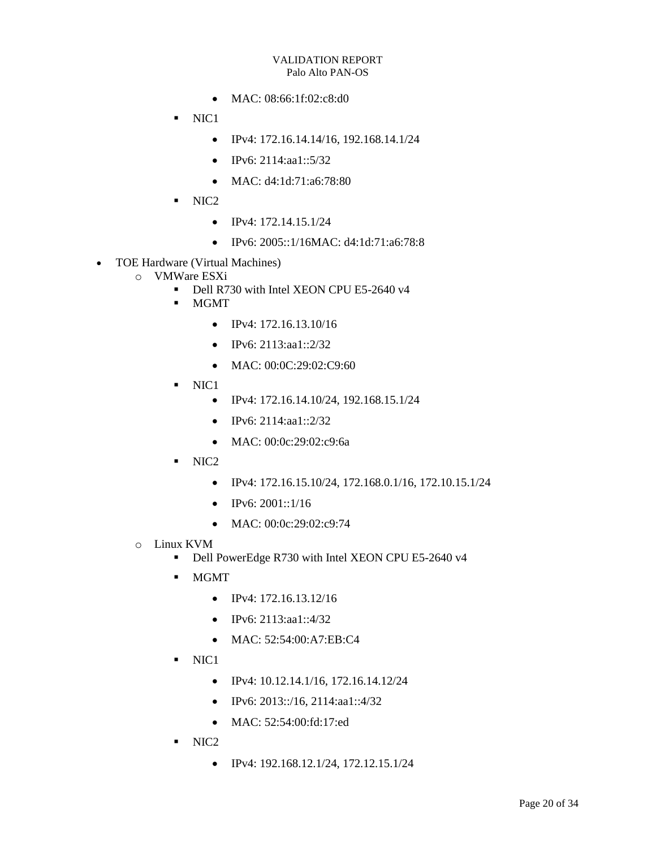- MAC: 08:66:1f:02:c8:d0
- $\blacksquare$  NIC1
	- $\bullet$  IPv4: 172.16.14.14/16, 192.168.14.1/24
	- IPv6: 2114:aa1::5/32
	- $\bullet$  MAC: d4:1d:71:a6:78:80
- $\blacksquare$  NIC2
	- $\bullet$  IPv4: 172.14.15.1/24
	- IPv6: 2005::1/16MAC: d4:1d:71:a6:78:8
- TOE Hardware (Virtual Machines)
	- o VMWare ESXi
		- Dell R730 with Intel XEON CPU E5-2640 v4
		- MGMT
			- $\bullet$  IPv4: 172.16.13.10/16
			- $\bullet$  IPv6: 2113:aa1::2/32
			- MAC: 00:0C:29:02:C9:60
		- $\blacksquare$  NIC1
			- IPv4: 172.16.14.10/24, 192.168.15.1/24
			- $\bullet$  IPv6: 2114:aa1::2/32
			- MAC: 00:0c:29:02:c9:6a
		- $\blacksquare$  NIC2
			- IPv4: 172.16.15.10/24, 172.168.0.1/16, 172.10.15.1/24
			- $\bullet$  IPv6: 2001::1/16
			- MAC: 00:0c:29:02:c9:74
	- o Linux KVM
		- Dell PowerEdge R730 with Intel XEON CPU E5-2640 v4
		- **NGMT** 
			- $\bullet$  IPv4: 172.16.13.12/16
			- $\bullet$  IPv6: 2113:aa1::4/32
			- MAC: 52:54:00:A7:EB:C4
		- $\blacksquare$  NIC1
			- $\bullet$  IPv4: 10.12.14.1/16, 172.16.14.12/24
			- $\bullet$  IPv6: 2013::/16, 2114:aa1::4/32
			- MAC: 52:54:00:fd:17:ed
		- $\blacksquare$  NIC2
			- $\bullet$  IPv4: 192.168.12.1/24, 172.12.15.1/24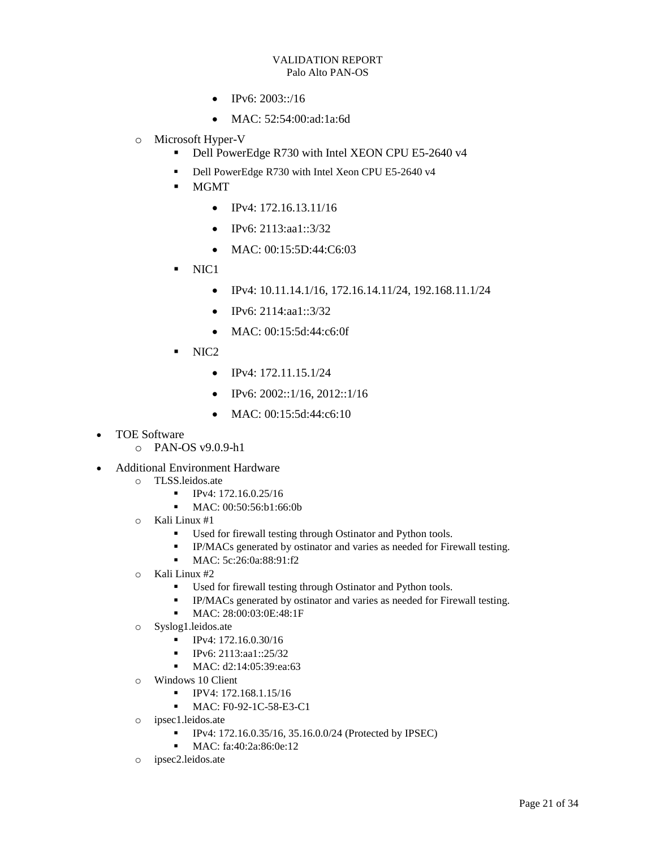- $\bullet$  IPv6: 2003::/16
- MAC: 52:54:00:ad:1a:6d
- o Microsoft Hyper-V
	- Dell PowerEdge R730 with Intel XEON CPU E5-2640 v4
	- Dell PowerEdge R730 with Intel Xeon CPU E5-2640 v4
	- MGMT
		- $\bullet$  IPv4: 172.16.13.11/16
		- IPv6: 2113:aa1::3/32
		- MAC: 00:15:5D:44:C6:03
	- $\blacksquare$  NIC1
		- $\bullet$  IPv4: 10.11.14.1/16, 172.16.14.11/24, 192.168.11.1/24
		- $\bullet$  IPv6: 2114:aa1::3/32
		- MAC: 00:15:5d:44:c6:0f
	- NIC2
		- $\bullet$  IPv4: 172.11.15.1/24
		- $\bullet$  IPv6: 2002::1/16, 2012::1/16
		- $\bullet$  MAC: 00:15:5d:44:c6:10
- TOE Software
	- o PAN-OS v9.0.9-h1
- Additional Environment Hardware
	- o TLSS.leidos.ate
		- $IPv4: 172.16.0.25/16$
		- MAC: 00:50:56:b1:66:0b
	- o Kali Linux #1
		- Used for firewall testing through Ostinator and Python tools.
		- IP/MACs generated by ostinator and varies as needed for Firewall testing.
		- MAC: 5c:26:0a:88:91:f2
	- o Kali Linux #2
		- Used for firewall testing through Ostinator and Python tools.
		- **IP/MACs** generated by ostinator and varies as needed for Firewall testing.
		- MAC: 28:00:03:0E:48:1F
	- o Syslog1.leidos.ate
		- **IPv4: 172.16.0.30/16**
		- $\blacksquare$  IPv6: 2113:aa1::25/32
		- MAC: d2:14:05:39:ea:63
	- o Windows 10 Client
		- **IPV4: 172.168.1.15/16**
		- **MAC: F0-92-1C-58-E3-C1**
	- o ipsec1.leidos.ate
		- IPv4: 172.16.0.35/16, 35.16.0.0/24 (Protected by IPSEC)
		- MAC: fa:40:2a:86:0e:12
	- o ipsec2.leidos.ate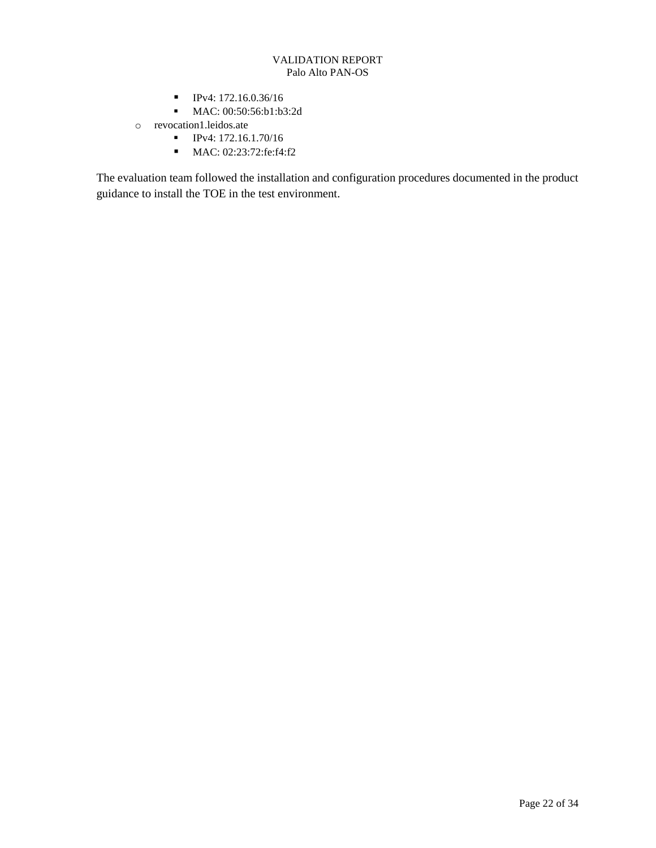- **IPv4: 172.16.0.36/16**
- **MAC:** 00:50:56:b1:b3:2d
- o revocation1.leidos.ate
	- **IPv4: 172.16.1.70/16**
	- MAC: 02:23:72:fe:f4:f2

The evaluation team followed the installation and configuration procedures documented in the product guidance to install the TOE in the test environment.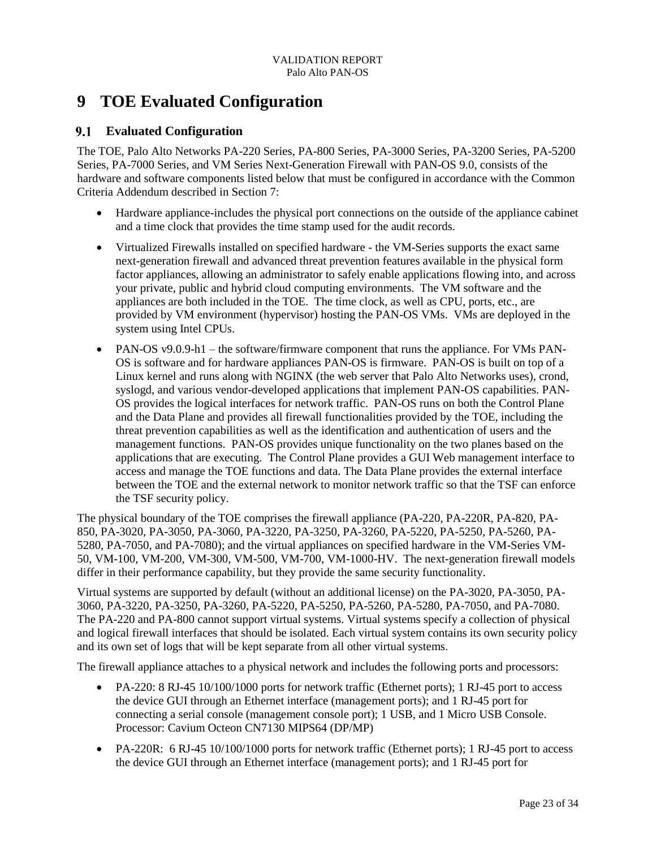## <span id="page-26-0"></span>**9 TOE Evaluated Configuration**

### <span id="page-26-1"></span>**Evaluated Configuration**

The TOE, Palo Alto Networks PA-220 Series, PA-800 Series, PA-3000 Series, PA-3200 Series, PA-5200 Series, PA-7000 Series, and VM Series Next-Generation Firewall with PAN-OS 9.0, consists of the hardware and software components listed below that must be configured in accordance with the Common Criteria Addendum described in Section 7:

- Hardware appliance-includes the physical port connections on the outside of the appliance cabinet and a time clock that provides the time stamp used for the audit records.
- Virtualized Firewalls installed on specified hardware the VM-Series supports the exact same next-generation firewall and advanced threat prevention features available in the physical form factor appliances, allowing an administrator to safely enable applications flowing into, and across your private, public and hybrid cloud computing environments. The VM software and the appliances are both included in the TOE. The time clock, as well as CPU, ports, etc., are provided by VM environment (hypervisor) hosting the PAN-OS VMs. VMs are deployed in the system using Intel CPUs.
- PAN-OS v9.0.9-h1 the software/firmware component that runs the appliance. For VMs PAN-OS is software and for hardware appliances PAN-OS is firmware. PAN-OS is built on top of a Linux kernel and runs along with NGINX (the web server that Palo Alto Networks uses), crond, syslogd, and various vendor-developed applications that implement PAN-OS capabilities. PAN-OS provides the logical interfaces for network traffic. PAN-OS runs on both the Control Plane and the Data Plane and provides all firewall functionalities provided by the TOE, including the threat prevention capabilities as well as the identification and authentication of users and the management functions. PAN-OS provides unique functionality on the two planes based on the applications that are executing. The Control Plane provides a GUI Web management interface to access and manage the TOE functions and data. The Data Plane provides the external interface between the TOE and the external network to monitor network traffic so that the TSF can enforce the TSF security policy.

The physical boundary of the TOE comprises the firewall appliance (PA-220, PA-220R, PA-820, PA-850, PA-3020, PA-3050, PA-3060, PA-3220, PA-3250, PA-3260, PA-5220, PA-5250, PA-5260, PA-5280, PA-7050, and PA-7080); and the virtual appliances on specified hardware in the VM-Series VM-50, VM-100, VM-200, VM-300, VM-500, VM-700, VM-1000-HV. The next-generation firewall models differ in their performance capability, but they provide the same security functionality.

Virtual systems are supported by default (without an additional license) on the PA-3020, PA-3050, PA-3060, PA-3220, PA-3250, PA-3260, PA-5220, PA-5250, PA-5260, PA-5280, PA-7050, and PA-7080. The PA-220 and PA-800 cannot support virtual systems. Virtual systems specify a collection of physical and logical firewall interfaces that should be isolated. Each virtual system contains its own security policy and its own set of logs that will be kept separate from all other virtual systems.

The firewall appliance attaches to a physical network and includes the following ports and processors:

- PA-220: 8 RJ-45 10/100/1000 ports for network traffic (Ethernet ports); 1 RJ-45 port to access the device GUI through an Ethernet interface (management ports); and 1 RJ-45 port for connecting a serial console (management console port); 1 USB, and 1 Micro USB Console. Processor: Cavium Octeon CN7130 MIPS64 (DP/MP)
- PA-220R: 6 RJ-45 10/100/1000 ports for network traffic (Ethernet ports); 1 RJ-45 port to access the device GUI through an Ethernet interface (management ports); and 1 RJ-45 port for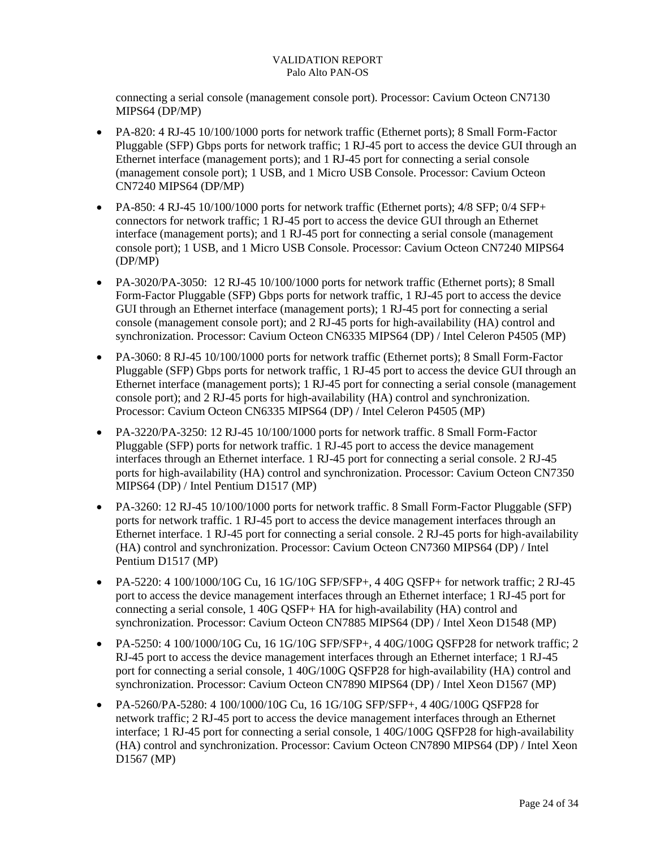connecting a serial console (management console port). Processor: Cavium Octeon CN7130 MIPS64 (DP/MP)

- PA-820: 4 RJ-45 10/100/1000 ports for network traffic (Ethernet ports); 8 Small Form-Factor Pluggable (SFP) Gbps ports for network traffic; 1 RJ-45 port to access the device GUI through an Ethernet interface (management ports); and 1 RJ-45 port for connecting a serial console (management console port); 1 USB, and 1 Micro USB Console. Processor: Cavium Octeon CN7240 MIPS64 (DP/MP)
- PA-850: 4 RJ-45 10/100/1000 ports for network traffic (Ethernet ports);  $4/8$  SFP;  $0/4$  SFP+ connectors for network traffic; 1 RJ-45 port to access the device GUI through an Ethernet interface (management ports); and 1 RJ-45 port for connecting a serial console (management console port); 1 USB, and 1 Micro USB Console. Processor: Cavium Octeon CN7240 MIPS64 (DP/MP)
- PA-3020/PA-3050: 12 RJ-45 10/100/1000 ports for network traffic (Ethernet ports); 8 Small Form-Factor Pluggable (SFP) Gbps ports for network traffic, 1 RJ-45 port to access the device GUI through an Ethernet interface (management ports); 1 RJ-45 port for connecting a serial console (management console port); and 2 RJ-45 ports for high-availability (HA) control and synchronization. Processor: Cavium Octeon CN6335 MIPS64 (DP) / Intel Celeron P4505 (MP)
- PA-3060: 8 RJ-45 10/100/1000 ports for network traffic (Ethernet ports); 8 Small Form-Factor Pluggable (SFP) Gbps ports for network traffic, 1 RJ-45 port to access the device GUI through an Ethernet interface (management ports); 1 RJ-45 port for connecting a serial console (management console port); and 2 RJ-45 ports for high-availability (HA) control and synchronization. Processor: Cavium Octeon CN6335 MIPS64 (DP) / Intel Celeron P4505 (MP)
- PA-3220/PA-3250: 12 RJ-45 10/100/1000 ports for network traffic. 8 Small Form-Factor Pluggable (SFP) ports for network traffic. 1 RJ-45 port to access the device management interfaces through an Ethernet interface. 1 RJ-45 port for connecting a serial console. 2 RJ-45 ports for high-availability (HA) control and synchronization. Processor: Cavium Octeon CN7350 MIPS64 (DP) / Intel Pentium D1517 (MP)
- PA-3260: 12 RJ-45 10/100/1000 ports for network traffic. 8 Small Form-Factor Pluggable (SFP) ports for network traffic. 1 RJ-45 port to access the device management interfaces through an Ethernet interface. 1 RJ-45 port for connecting a serial console. 2 RJ-45 ports for high-availability (HA) control and synchronization. Processor: Cavium Octeon CN7360 MIPS64 (DP) / Intel Pentium D1517 (MP)
- PA-5220: 4 100/1000/10G Cu, 16 1G/10G SFP/SFP+, 4 40G QSFP+ for network traffic; 2 RJ-45 port to access the device management interfaces through an Ethernet interface; 1 RJ-45 port for connecting a serial console, 1 40G QSFP+ HA for high-availability (HA) control and synchronization. Processor: Cavium Octeon CN7885 MIPS64 (DP) / Intel Xeon D1548 (MP)
- PA-5250: 4 100/1000/10G Cu, 16 1G/10G SFP/SFP+, 4 40G/100G OSFP28 for network traffic; 2 RJ-45 port to access the device management interfaces through an Ethernet interface; 1 RJ-45 port for connecting a serial console, 1 40G/100G QSFP28 for high-availability (HA) control and synchronization. Processor: Cavium Octeon CN7890 MIPS64 (DP) / Intel Xeon D1567 (MP)
- PA-5260/PA-5280: 4 100/1000/10G Cu, 16 1G/10G SFP/SFP+, 4 40G/100G QSFP28 for network traffic; 2 RJ-45 port to access the device management interfaces through an Ethernet interface; 1 RJ-45 port for connecting a serial console, 1 40G/100G QSFP28 for high-availability (HA) control and synchronization. Processor: Cavium Octeon CN7890 MIPS64 (DP) / Intel Xeon D1567 (MP)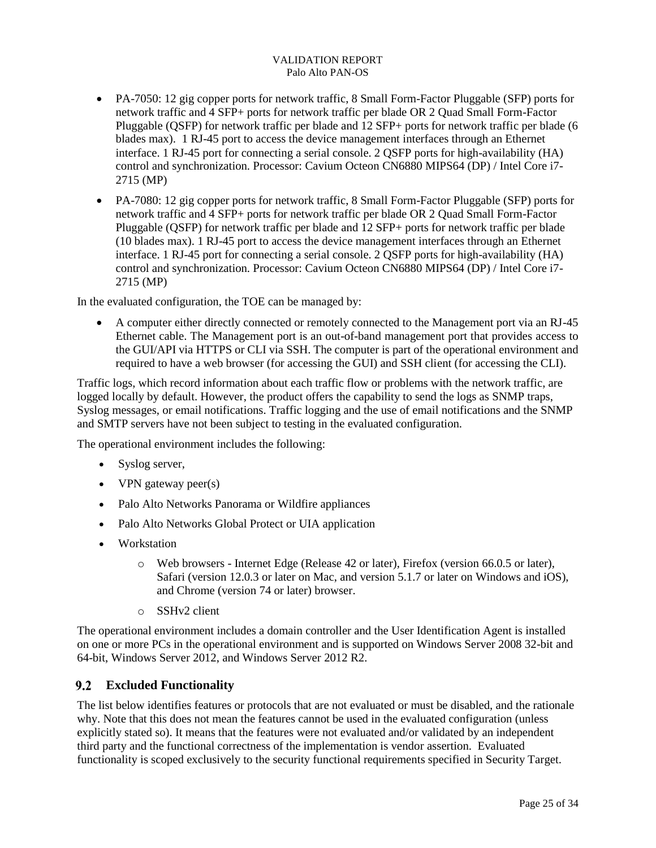- PA-7050: 12 gig copper ports for network traffic, 8 Small Form-Factor Pluggable (SFP) ports for network traffic and 4 SFP+ ports for network traffic per blade OR 2 Quad Small Form-Factor Pluggable (QSFP) for network traffic per blade and 12 SFP+ ports for network traffic per blade (6 blades max). 1 RJ-45 port to access the device management interfaces through an Ethernet interface. 1 RJ-45 port for connecting a serial console. 2 QSFP ports for high-availability (HA) control and synchronization. Processor: Cavium Octeon CN6880 MIPS64 (DP) / Intel Core i7- 2715 (MP)
- PA-7080: 12 gig copper ports for network traffic, 8 Small Form-Factor Pluggable (SFP) ports for network traffic and 4 SFP+ ports for network traffic per blade OR 2 Quad Small Form-Factor Pluggable (QSFP) for network traffic per blade and 12 SFP+ ports for network traffic per blade (10 blades max). 1 RJ-45 port to access the device management interfaces through an Ethernet interface. 1 RJ-45 port for connecting a serial console. 2 QSFP ports for high-availability (HA) control and synchronization. Processor: Cavium Octeon CN6880 MIPS64 (DP) / Intel Core i7- 2715 (MP)

In the evaluated configuration, the TOE can be managed by:

 A computer either directly connected or remotely connected to the Management port via an RJ-45 Ethernet cable. The Management port is an out-of-band management port that provides access to the GUI/API via HTTPS or CLI via SSH. The computer is part of the operational environment and required to have a web browser (for accessing the GUI) and SSH client (for accessing the CLI).

Traffic logs, which record information about each traffic flow or problems with the network traffic, are logged locally by default. However, the product offers the capability to send the logs as SNMP traps, Syslog messages, or email notifications. Traffic logging and the use of email notifications and the SNMP and SMTP servers have not been subject to testing in the evaluated configuration.

The operational environment includes the following:

- Syslog server,
- VPN gateway peer(s)
- Palo Alto Networks Panorama or Wildfire appliances
- Palo Alto Networks Global Protect or UIA application
- Workstation
	- o Web browsers Internet Edge (Release 42 or later), Firefox (version 66.0.5 or later), Safari (version 12.0.3 or later on Mac, and version 5.1.7 or later on Windows and iOS), and Chrome (version 74 or later) browser.
	- o SSHv2 client

The operational environment includes a domain controller and the User Identification Agent is installed on one or more PCs in the operational environment and is supported on Windows Server 2008 32-bit and 64-bit, Windows Server 2012, and Windows Server 2012 R2.

### <span id="page-28-0"></span>**Excluded Functionality**

The list below identifies features or protocols that are not evaluated or must be disabled, and the rationale why. Note that this does not mean the features cannot be used in the evaluated configuration (unless explicitly stated so). It means that the features were not evaluated and/or validated by an independent third party and the functional correctness of the implementation is vendor assertion. Evaluated functionality is scoped exclusively to the security functional requirements specified in Security Target.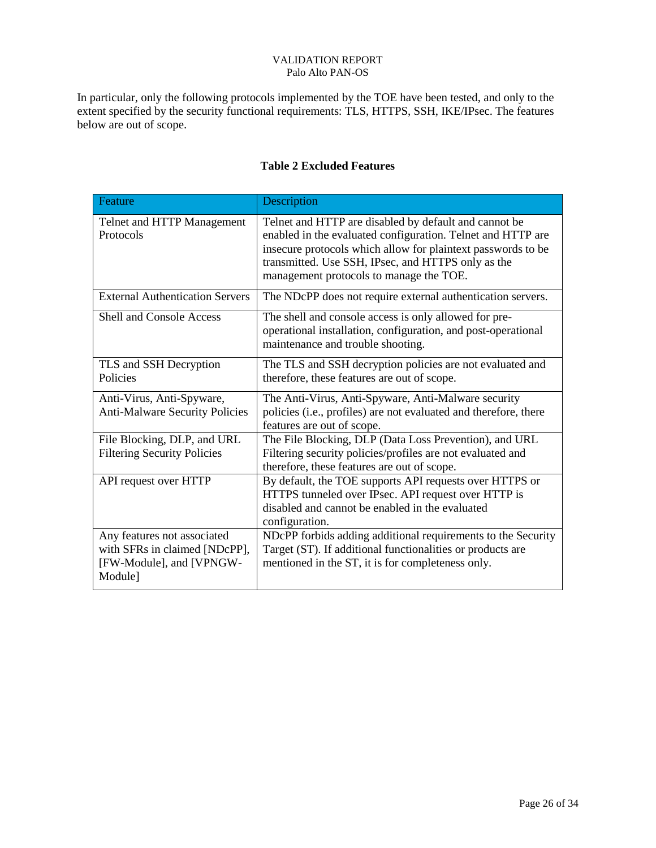In particular, only the following protocols implemented by the TOE have been tested, and only to the extent specified by the security functional requirements: TLS, HTTPS, SSH, IKE/IPsec. The features below are out of scope.

<span id="page-29-0"></span>

| Feature                                                                                             | Description                                                                                                                                                                                                                                                                           |
|-----------------------------------------------------------------------------------------------------|---------------------------------------------------------------------------------------------------------------------------------------------------------------------------------------------------------------------------------------------------------------------------------------|
| Telnet and HTTP Management<br>Protocols                                                             | Telnet and HTTP are disabled by default and cannot be<br>enabled in the evaluated configuration. Telnet and HTTP are<br>insecure protocols which allow for plaintext passwords to be<br>transmitted. Use SSH, IPsec, and HTTPS only as the<br>management protocols to manage the TOE. |
| <b>External Authentication Servers</b>                                                              | The NDcPP does not require external authentication servers.                                                                                                                                                                                                                           |
| <b>Shell and Console Access</b>                                                                     | The shell and console access is only allowed for pre-<br>operational installation, configuration, and post-operational<br>maintenance and trouble shooting.                                                                                                                           |
| TLS and SSH Decryption<br>Policies                                                                  | The TLS and SSH decryption policies are not evaluated and<br>therefore, these features are out of scope.                                                                                                                                                                              |
| Anti-Virus, Anti-Spyware,<br><b>Anti-Malware Security Policies</b>                                  | The Anti-Virus, Anti-Spyware, Anti-Malware security<br>policies (i.e., profiles) are not evaluated and therefore, there<br>features are out of scope.                                                                                                                                 |
| File Blocking, DLP, and URL<br><b>Filtering Security Policies</b>                                   | The File Blocking, DLP (Data Loss Prevention), and URL<br>Filtering security policies/profiles are not evaluated and<br>therefore, these features are out of scope.                                                                                                                   |
| API request over HTTP                                                                               | By default, the TOE supports API requests over HTTPS or<br>HTTPS tunneled over IPsec. API request over HTTP is<br>disabled and cannot be enabled in the evaluated<br>configuration.                                                                                                   |
| Any features not associated<br>with SFRs in claimed [NDcPP],<br>[FW-Module], and [VPNGW-<br>Module] | NDcPP forbids adding additional requirements to the Security<br>Target (ST). If additional functionalities or products are<br>mentioned in the ST, it is for completeness only.                                                                                                       |

## **Table 2 Excluded Features**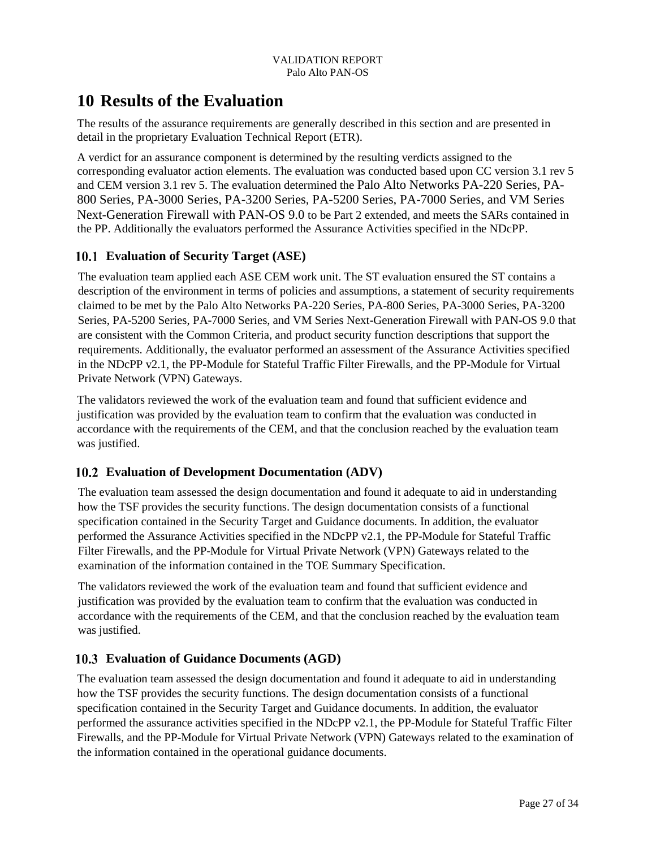## <span id="page-30-0"></span>**10 Results of the Evaluation**

The results of the assurance requirements are generally described in this section and are presented in detail in the proprietary Evaluation Technical Report (ETR).

A verdict for an assurance component is determined by the resulting verdicts assigned to the corresponding evaluator action elements. The evaluation was conducted based upon CC version 3.1 rev 5 and CEM version 3.1 rev 5. The evaluation determined the Palo Alto Networks PA-220 Series, PA-800 Series, PA-3000 Series, PA-3200 Series, PA-5200 Series, PA-7000 Series, and VM Series Next-Generation Firewall with PAN-OS 9.0 to be Part 2 extended, and meets the SARs contained in the PP. Additionally the evaluators performed the Assurance Activities specified in the NDcPP.

## <span id="page-30-1"></span>**Evaluation of Security Target (ASE)**

The evaluation team applied each ASE CEM work unit. The ST evaluation ensured the ST contains a description of the environment in terms of policies and assumptions, a statement of security requirements claimed to be met by the Palo Alto Networks PA-220 Series, PA-800 Series, PA-3000 Series, PA-3200 Series, PA-5200 Series, PA-7000 Series, and VM Series Next-Generation Firewall with PAN-OS 9.0 that are consistent with the Common Criteria, and product security function descriptions that support the requirements. Additionally, the evaluator performed an assessment of the Assurance Activities specified in the NDcPP v2.1, the PP-Module for Stateful Traffic Filter Firewalls, and the PP-Module for Virtual Private Network (VPN) Gateways.

The validators reviewed the work of the evaluation team and found that sufficient evidence and justification was provided by the evaluation team to confirm that the evaluation was conducted in accordance with the requirements of the CEM, and that the conclusion reached by the evaluation team was justified.

## <span id="page-30-2"></span>**Evaluation of Development Documentation (ADV)**

The evaluation team assessed the design documentation and found it adequate to aid in understanding how the TSF provides the security functions. The design documentation consists of a functional specification contained in the Security Target and Guidance documents. In addition, the evaluator performed the Assurance Activities specified in the NDcPP v2.1, the PP-Module for Stateful Traffic Filter Firewalls, and the PP-Module for Virtual Private Network (VPN) Gateways related to the examination of the information contained in the TOE Summary Specification.

The validators reviewed the work of the evaluation team and found that sufficient evidence and justification was provided by the evaluation team to confirm that the evaluation was conducted in accordance with the requirements of the CEM, and that the conclusion reached by the evaluation team was justified.

## <span id="page-30-3"></span>**Evaluation of Guidance Documents (AGD)**

The evaluation team assessed the design documentation and found it adequate to aid in understanding how the TSF provides the security functions. The design documentation consists of a functional specification contained in the Security Target and Guidance documents. In addition, the evaluator performed the assurance activities specified in the NDcPP v2.1, the PP-Module for Stateful Traffic Filter Firewalls, and the PP-Module for Virtual Private Network (VPN) Gateways related to the examination of the information contained in the operational guidance documents.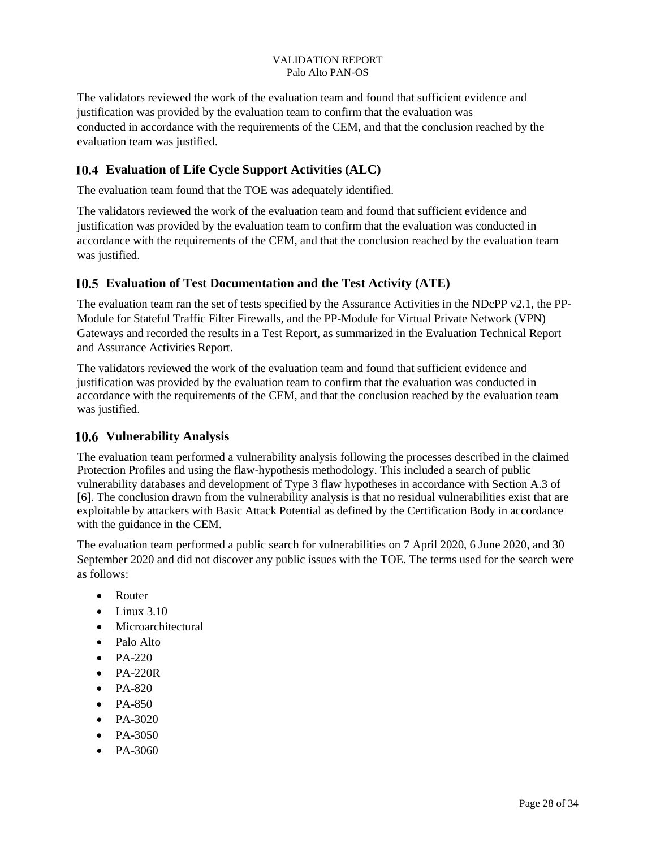The validators reviewed the work of the evaluation team and found that sufficient evidence and justification was provided by the evaluation team to confirm that the evaluation was conducted in accordance with the requirements of the CEM, and that the conclusion reached by the evaluation team was justified.

## <span id="page-31-0"></span>**Evaluation of Life Cycle Support Activities (ALC)**

The evaluation team found that the TOE was adequately identified.

The validators reviewed the work of the evaluation team and found that sufficient evidence and justification was provided by the evaluation team to confirm that the evaluation was conducted in accordance with the requirements of the CEM, and that the conclusion reached by the evaluation team was justified.

### <span id="page-31-1"></span>**Evaluation of Test Documentation and the Test Activity (ATE)**

The evaluation team ran the set of tests specified by the Assurance Activities in the NDcPP v2.1, the PP-Module for Stateful Traffic Filter Firewalls, and the PP-Module for Virtual Private Network (VPN) Gateways and recorded the results in a Test Report, as summarized in the Evaluation Technical Report and Assurance Activities Report.

The validators reviewed the work of the evaluation team and found that sufficient evidence and justification was provided by the evaluation team to confirm that the evaluation was conducted in accordance with the requirements of the CEM, and that the conclusion reached by the evaluation team was justified.

### <span id="page-31-2"></span>**Vulnerability Analysis**

The evaluation team performed a vulnerability analysis following the processes described in the claimed Protection Profiles and using the flaw-hypothesis methodology. This included a search of public vulnerability databases and development of Type 3 flaw hypotheses in accordance with Section A.3 of [6]. The conclusion drawn from the vulnerability analysis is that no residual vulnerabilities exist that are exploitable by attackers with Basic Attack Potential as defined by the Certification Body in accordance with the guidance in the CEM.

The evaluation team performed a public search for vulnerabilities on 7 April 2020, 6 June 2020, and 30 September 2020 and did not discover any public issues with the TOE. The terms used for the search were as follows:

- Router
- $\bullet$  Linux 3.10
- Microarchitectural
- Palo Alto
- PA-220
- $\bullet$  PA-220R
- $\bullet$  PA-820
- PA-850
- PA-3020
- PA-3050
- $P_{A-3060}$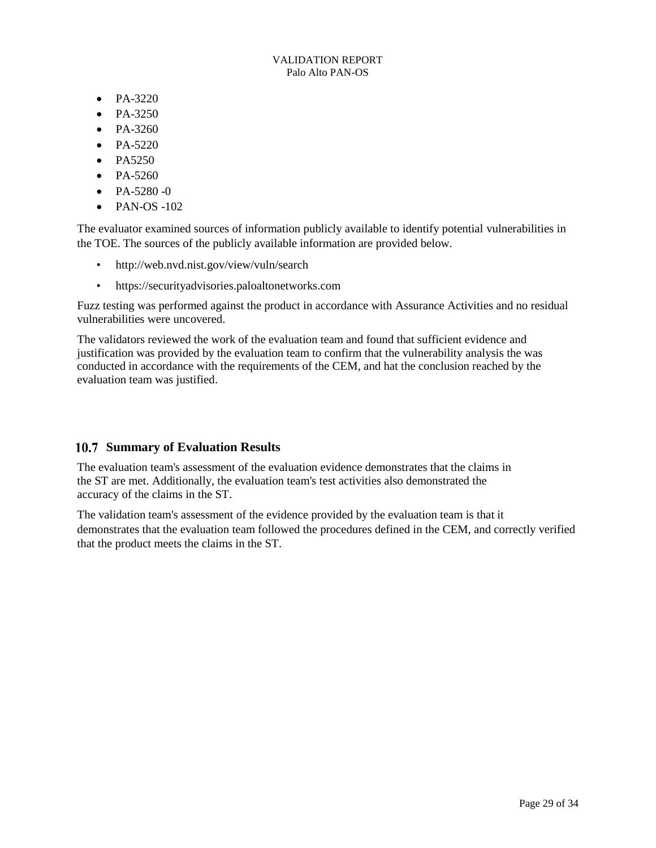- PA-3220
- $P_{A-3250}$
- PA-3260
- $\bullet$  PA-5220
- PA5250
- $P_{A-5260}$
- $\bullet$  PA-5280 -0
- $\bullet$  PAN-OS -102

The evaluator examined sources of information publicly available to identify potential vulnerabilities in the TOE. The sources of the publicly available information are provided below.

- http://web.nvd.nist.gov/view/vuln/search
- https://securityadvisories.paloaltonetworks.com

Fuzz testing was performed against the product in accordance with Assurance Activities and no residual vulnerabilities were uncovered.

The validators reviewed the work of the evaluation team and found that sufficient evidence and justification was provided by the evaluation team to confirm that the vulnerability analysis the was conducted in accordance with the requirements of the CEM, and hat the conclusion reached by the evaluation team was justified.

### <span id="page-32-0"></span>**10.7 Summary of Evaluation Results**

The evaluation team's assessment of the evaluation evidence demonstrates that the claims in the ST are met. Additionally, the evaluation team's test activities also demonstrated the accuracy of the claims in the ST.

The validation team's assessment of the evidence provided by the evaluation team is that it demonstrates that the evaluation team followed the procedures defined in the CEM, and correctly verified that the product meets the claims in the ST.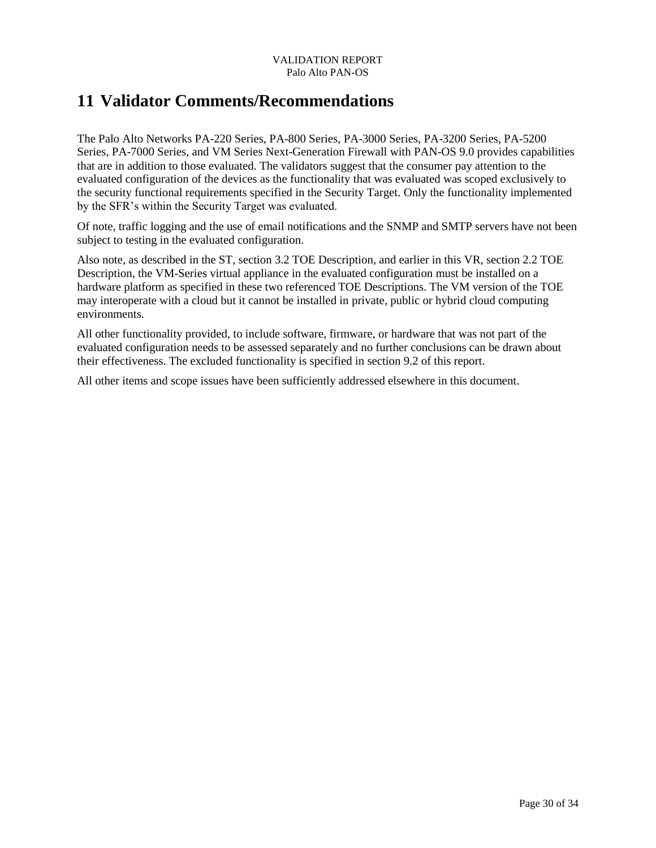## <span id="page-33-0"></span>**11 Validator Comments/Recommendations**

The Palo Alto Networks PA-220 Series, PA-800 Series, PA-3000 Series, PA-3200 Series, PA-5200 Series, PA-7000 Series, and VM Series Next-Generation Firewall with PAN-OS 9.0 provides capabilities that are in addition to those evaluated. The validators suggest that the consumer pay attention to the evaluated configuration of the devices as the functionality that was evaluated was scoped exclusively to the security functional requirements specified in the Security Target. Only the functionality implemented by the SFR's within the Security Target was evaluated.

Of note, traffic logging and the use of email notifications and the SNMP and SMTP servers have not been subject to testing in the evaluated configuration.

Also note, as described in the ST, section 3.2 TOE Description, and earlier in this VR, section 2.2 TOE Description, the VM-Series virtual appliance in the evaluated configuration must be installed on a hardware platform as specified in these two referenced TOE Descriptions. The VM version of the TOE may interoperate with a cloud but it cannot be installed in private, public or hybrid cloud computing environments.

All other functionality provided, to include software, firmware, or hardware that was not part of the evaluated configuration needs to be assessed separately and no further conclusions can be drawn about their effectiveness. The excluded functionality is specified in section 9.2 of this report.

All other items and scope issues have been sufficiently addressed elsewhere in this document.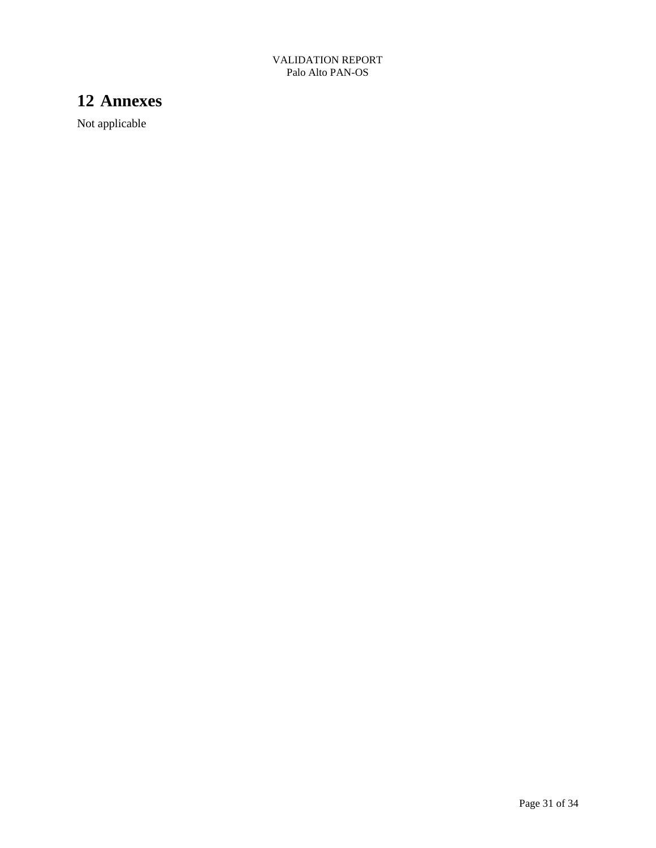## <span id="page-34-0"></span>**12 Annexes**

Not applicable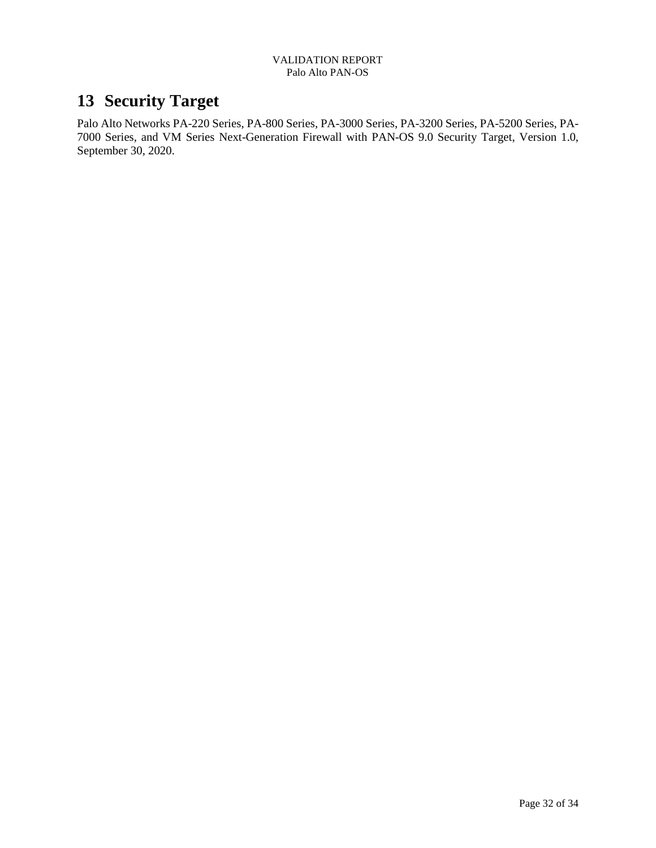## <span id="page-35-0"></span>**13 Security Target**

Palo Alto Networks PA-220 Series, PA-800 Series, PA-3000 Series, PA-3200 Series, PA-5200 Series, PA-7000 Series, and VM Series Next-Generation Firewall with PAN-OS 9.0 Security Target, Version 1.0, September 30, 2020.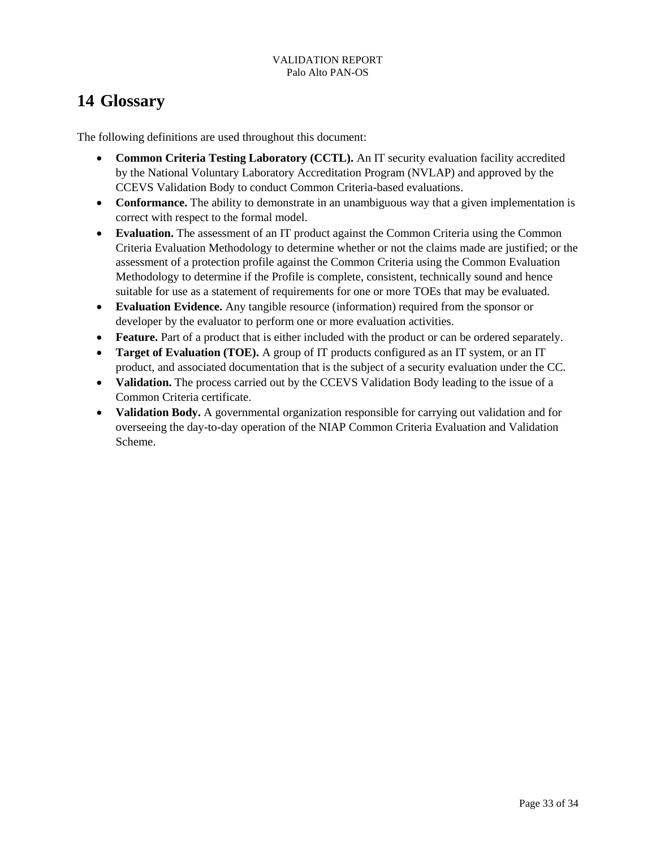## <span id="page-36-0"></span>**14 Glossary**

The following definitions are used throughout this document:

- **Common Criteria Testing Laboratory (CCTL).** An IT security evaluation facility accredited by the National Voluntary Laboratory Accreditation Program (NVLAP) and approved by the CCEVS Validation Body to conduct Common Criteria-based evaluations.
- **Conformance.** The ability to demonstrate in an unambiguous way that a given implementation is correct with respect to the formal model.
- **Evaluation.** The assessment of an IT product against the Common Criteria using the Common Criteria Evaluation Methodology to determine whether or not the claims made are justified; or the assessment of a protection profile against the Common Criteria using the Common Evaluation Methodology to determine if the Profile is complete, consistent, technically sound and hence suitable for use as a statement of requirements for one or more TOEs that may be evaluated.
- **Evaluation Evidence.** Any tangible resource (information) required from the sponsor or developer by the evaluator to perform one or more evaluation activities.
- **Feature.** Part of a product that is either included with the product or can be ordered separately.
- **Target of Evaluation (TOE).** A group of IT products configured as an IT system, or an IT product, and associated documentation that is the subject of a security evaluation under the CC.
- **Validation.** The process carried out by the CCEVS Validation Body leading to the issue of a Common Criteria certificate.
- **Validation Body.** A governmental organization responsible for carrying out validation and for overseeing the day-to-day operation of the NIAP Common Criteria Evaluation and Validation Scheme.